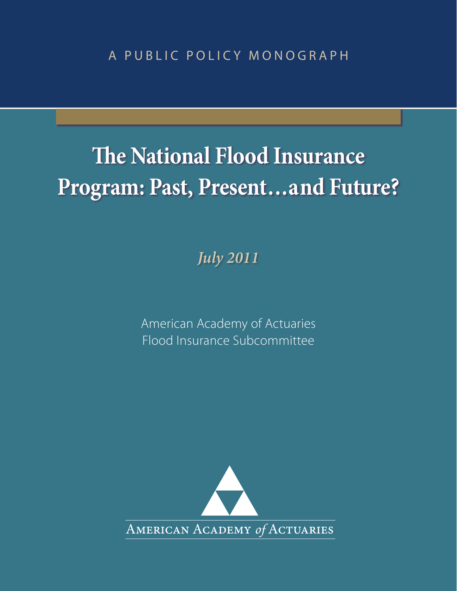A PUBLIC POLICY MONOGRAPH

# **The National Flood Insurance Program: Past, Present...and Future?**

*July 2011*

American Academy of Actuaries Flood Insurance Subcommittee

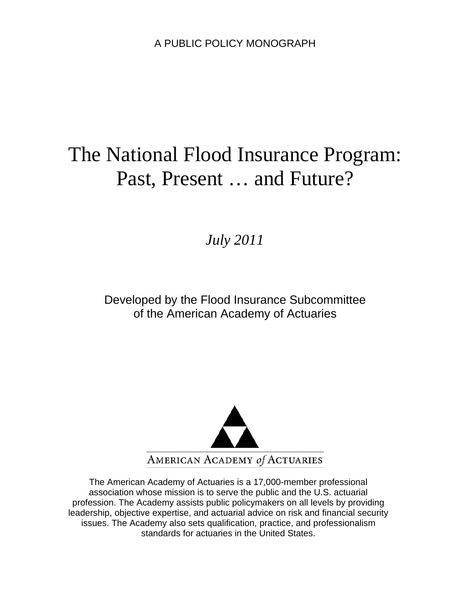# The National Flood Insurance Program: Past, Present … and Future?

# *July 2011*

# Developed by the Flood Insurance Subcommittee of the American Academy of Actuaries



The American Academy of Actuaries is a 17,000-member professional association whose mission is to serve the public and the U.S. actuarial profession. The Academy assists public policymakers on all levels by providing leadership, objective expertise, and actuarial advice on risk and financial security issues. The Academy also sets qualification, practice, and professionalism standards for actuaries in the United States.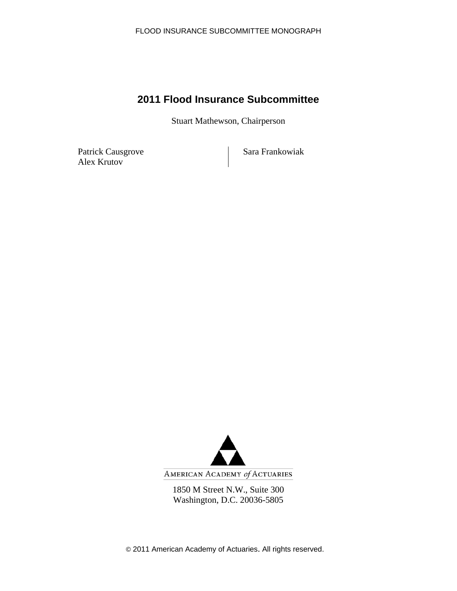# **2011 Flood Insurance Subcommittee**

Stuart Mathewson, Chairperson

Patrick Causgrove Sara Frankowiak Alex Krutov



AMERICAN ACADEMY of ACTUARIES

1850 M Street N.W., Suite 300 Washington, D.C. 20036-5805

© 2011 American Academy of Actuaries. All rights reserved.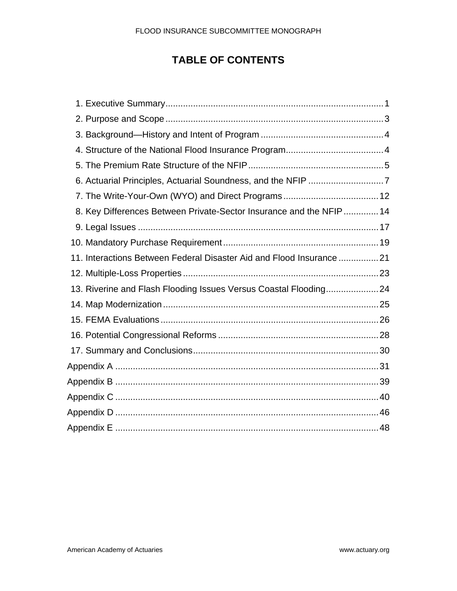# **TABLE OF CONTENTS**

| 6. Actuarial Principles, Actuarial Soundness, and the NFIP 7          |  |
|-----------------------------------------------------------------------|--|
|                                                                       |  |
| 8. Key Differences Between Private-Sector Insurance and the NFIP 14   |  |
|                                                                       |  |
|                                                                       |  |
| 11. Interactions Between Federal Disaster Aid and Flood Insurance  21 |  |
|                                                                       |  |
| 13. Riverine and Flash Flooding Issues Versus Coastal Flooding24      |  |
|                                                                       |  |
|                                                                       |  |
|                                                                       |  |
|                                                                       |  |
|                                                                       |  |
|                                                                       |  |
|                                                                       |  |
|                                                                       |  |
|                                                                       |  |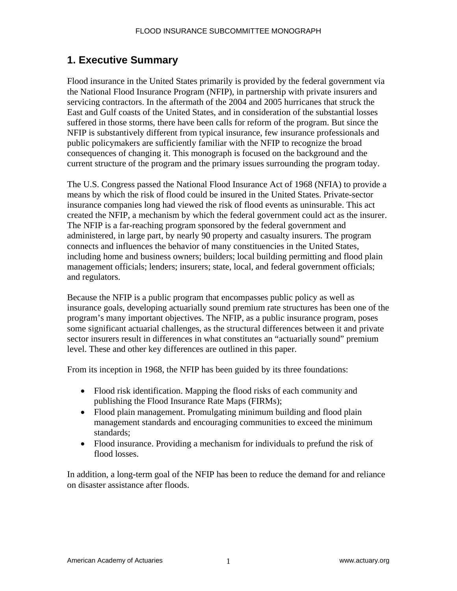# **1. Executive Summary**

Flood insurance in the United States primarily is provided by the federal government via the National Flood Insurance Program (NFIP), in partnership with private insurers and servicing contractors. In the aftermath of the 2004 and 2005 hurricanes that struck the East and Gulf coasts of the United States, and in consideration of the substantial losses suffered in those storms, there have been calls for reform of the program. But since the NFIP is substantively different from typical insurance, few insurance professionals and public policymakers are sufficiently familiar with the NFIP to recognize the broad consequences of changing it. This monograph is focused on the background and the current structure of the program and the primary issues surrounding the program today.

The U.S. Congress passed the National Flood Insurance Act of 1968 (NFIA) to provide a means by which the risk of flood could be insured in the United States. Private-sector insurance companies long had viewed the risk of flood events as uninsurable. This act created the NFIP, a mechanism by which the federal government could act as the insurer. The NFIP is a far-reaching program sponsored by the federal government and administered, in large part, by nearly 90 property and casualty insurers. The program connects and influences the behavior of many constituencies in the United States, including home and business owners; builders; local building permitting and flood plain management officials; lenders; insurers; state, local, and federal government officials; and regulators.

Because the NFIP is a public program that encompasses public policy as well as insurance goals, developing actuarially sound premium rate structures has been one of the program's many important objectives. The NFIP, as a public insurance program, poses some significant actuarial challenges, as the structural differences between it and private sector insurers result in differences in what constitutes an "actuarially sound" premium level. These and other key differences are outlined in this paper.

From its inception in 1968, the NFIP has been guided by its three foundations:

- Flood risk identification. Mapping the flood risks of each community and publishing the Flood Insurance Rate Maps (FIRMs);
- Flood plain management. Promulgating minimum building and flood plain management standards and encouraging communities to exceed the minimum standards;
- Flood insurance. Providing a mechanism for individuals to prefund the risk of flood losses.

In addition, a long-term goal of the NFIP has been to reduce the demand for and reliance on disaster assistance after floods.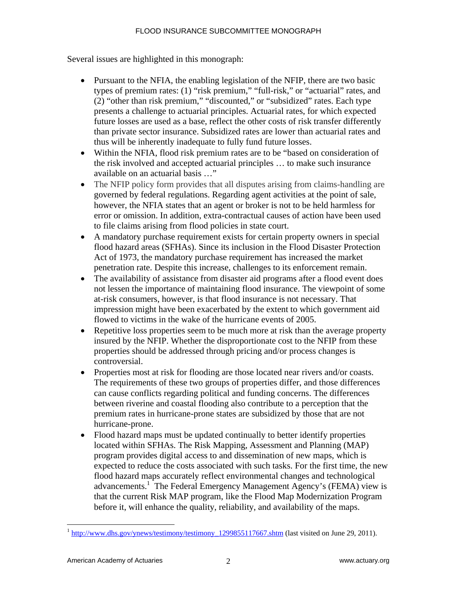Several issues are highlighted in this monograph:

- Pursuant to the NFIA, the enabling legislation of the NFIP, there are two basic types of premium rates: (1) "risk premium," "full-risk," or "actuarial" rates, and (2) "other than risk premium," "discounted," or "subsidized" rates. Each type presents a challenge to actuarial principles. Actuarial rates, for which expected future losses are used as a base, reflect the other costs of risk transfer differently than private sector insurance. Subsidized rates are lower than actuarial rates and thus will be inherently inadequate to fully fund future losses.
- Within the NFIA, flood risk premium rates are to be "based on consideration of the risk involved and accepted actuarial principles … to make such insurance available on an actuarial basis …"
- The NFIP policy form provides that all disputes arising from claims-handling are governed by federal regulations. Regarding agent activities at the point of sale, however, the NFIA states that an agent or broker is not to be held harmless for error or omission. In addition, extra-contractual causes of action have been used to file claims arising from flood policies in state court.
- A mandatory purchase requirement exists for certain property owners in special flood hazard areas (SFHAs). Since its inclusion in the Flood Disaster Protection Act of 1973, the mandatory purchase requirement has increased the market penetration rate. Despite this increase, challenges to its enforcement remain.
- The availability of assistance from disaster aid programs after a flood event does not lessen the importance of maintaining flood insurance. The viewpoint of some at-risk consumers, however, is that flood insurance is not necessary. That impression might have been exacerbated by the extent to which government aid flowed to victims in the wake of the hurricane events of 2005.
- Repetitive loss properties seem to be much more at risk than the average property insured by the NFIP. Whether the disproportionate cost to the NFIP from these properties should be addressed through pricing and/or process changes is controversial.
- Properties most at risk for flooding are those located near rivers and/or coasts. The requirements of these two groups of properties differ, and those differences can cause conflicts regarding political and funding concerns. The differences between riverine and coastal flooding also contribute to a perception that the premium rates in hurricane-prone states are subsidized by those that are not hurricane-prone.
- Flood hazard maps must be updated continually to better identify properties located within SFHAs. The Risk Mapping, Assessment and Planning (MAP) program provides digital access to and dissemination of new maps, which is expected to reduce the costs associated with such tasks. For the first time, the new flood hazard maps accurately reflect environmental changes and technological advancements.<sup>1</sup> The Federal Emergency Management Agency's (FEMA) view is that the current Risk MAP program, like the Flood Map Modernization Program before it, will enhance the quality, reliability, and availability of the maps.

 $1 \text{ http://www.dhs.gov/ynews/testimony/testimony/testimony}$  1299855117667.shtm (last visited on June 29, 2011).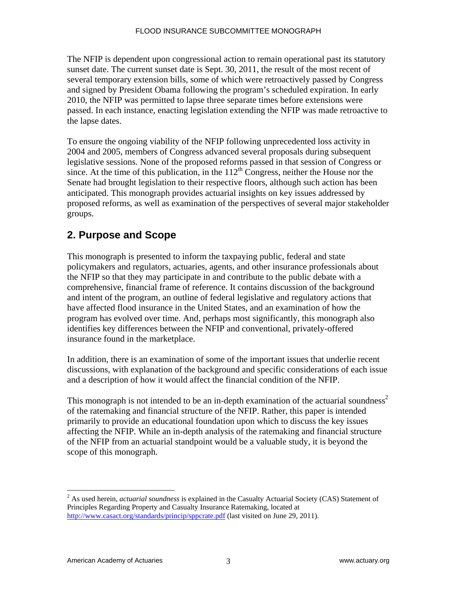The NFIP is dependent upon congressional action to remain operational past its statutory sunset date. The current sunset date is Sept. 30, 2011, the result of the most recent of several temporary extension bills, some of which were retroactively passed by Congress and signed by President Obama following the program's scheduled expiration. In early 2010, the NFIP was permitted to lapse three separate times before extensions were passed. In each instance, enacting legislation extending the NFIP was made retroactive to the lapse dates.

To ensure the ongoing viability of the NFIP following unprecedented loss activity in 2004 and 2005, members of Congress advanced several proposals during subsequent legislative sessions. None of the proposed reforms passed in that session of Congress or since. At the time of this publication, in the  $112<sup>th</sup>$  Congress, neither the House nor the Senate had brought legislation to their respective floors, although such action has been anticipated. This monograph provides actuarial insights on key issues addressed by proposed reforms, as well as examination of the perspectives of several major stakeholder groups.

# **2. Purpose and Scope**

This monograph is presented to inform the taxpaying public, federal and state policymakers and regulators, actuaries, agents, and other insurance professionals about the NFIP so that they may participate in and contribute to the public debate with a comprehensive, financial frame of reference. It contains discussion of the background and intent of the program, an outline of federal legislative and regulatory actions that have affected flood insurance in the United States, and an examination of how the program has evolved over time. And, perhaps most significantly, this monograph also identifies key differences between the NFIP and conventional, privately-offered insurance found in the marketplace.

In addition, there is an examination of some of the important issues that underlie recent discussions, with explanation of the background and specific considerations of each issue and a description of how it would affect the financial condition of the NFIP.

This monograph is not intended to be an in-depth examination of the actuarial soundness<sup>2</sup> of the ratemaking and financial structure of the NFIP. Rather, this paper is intended primarily to provide an educational foundation upon which to discuss the key issues affecting the NFIP. While an in-depth analysis of the ratemaking and financial structure of the NFIP from an actuarial standpoint would be a valuable study, it is beyond the scope of this monograph.

1

<sup>&</sup>lt;sup>2</sup> As used herein, *actuarial soundness* is explained in the Casualty Actuarial Society (CAS) Statement of Principles Regarding Property and Casualty Insurance Ratemaking, located at http://www.casact.org/standards/princip/sppcrate.pdf (last visited on June 29, 2011).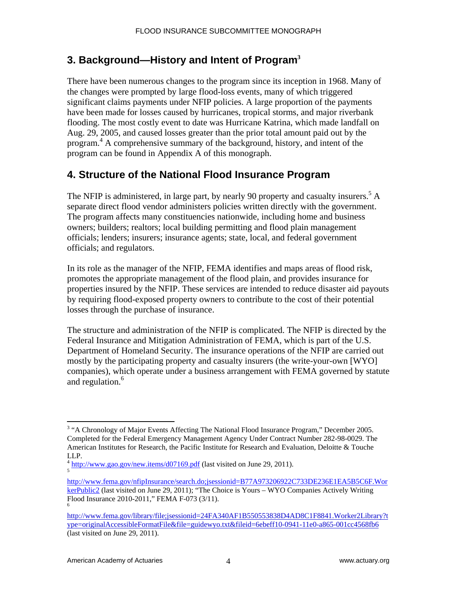# **3. Background—History and Intent of Program<sup>3</sup>**

There have been numerous changes to the program since its inception in 1968. Many of the changes were prompted by large flood-loss events, many of which triggered significant claims payments under NFIP policies. A large proportion of the payments have been made for losses caused by hurricanes, tropical storms, and major riverbank flooding. The most costly event to date was Hurricane Katrina, which made landfall on Aug. 29, 2005, and caused losses greater than the prior total amount paid out by the program.<sup>4</sup> A comprehensive summary of the background, history, and intent of the program can be found in Appendix A of this monograph.

# **4. Structure of the National Flood Insurance Program**

The NFIP is administered, in large part, by nearly 90 property and casualty insurers.<sup>5</sup> A separate direct flood vendor administers policies written directly with the government. The program affects many constituencies nationwide, including home and business owners; builders; realtors; local building permitting and flood plain management officials; lenders; insurers; insurance agents; state, local, and federal government officials; and regulators.

In its role as the manager of the NFIP, FEMA identifies and maps areas of flood risk, promotes the appropriate management of the flood plain, and provides insurance for properties insured by the NFIP. These services are intended to reduce disaster aid payouts by requiring flood-exposed property owners to contribute to the cost of their potential losses through the purchase of insurance.

The structure and administration of the NFIP is complicated. The NFIP is directed by the Federal Insurance and Mitigation Administration of FEMA, which is part of the U.S. Department of Homeland Security. The insurance operations of the NFIP are carried out mostly by the participating property and casualty insurers (the write-your-own [WYO] companies), which operate under a business arrangement with FEMA governed by statute and regulation.<sup>6</sup>

http://www.fema.gov/nfipInsurance/search.do;jsessionid=B77A973206922C733DE236E1EA5B5C6F.Wor kerPublic2 (last visited on June 29, 2011); "The Choice is Yours – WYO Companies Actively Writing Flood Insurance 2010-2011," FEMA F-073 (3/11). 6

<sup>&</sup>lt;sup>3</sup> "A Chronology of Major Events Affecting The National Flood Insurance Program," December 2005. Completed for the Federal Emergency Management Agency Under Contract Number 282-98-0029. The American Institutes for Research, the Pacific Institute for Research and Evaluation, Deloitte & Touche LLP.

 $4 \frac{\text{http://www.gao.gov/news.items/d07169.pdf}}{\text{http://www.gao.gov/news.items/d07169.pdf}}$  (last visited on June 29, 2011).

http://www.fema.gov/library/file;jsessionid=24FA340AF1B550553838D4AD8C1F8841.Worker2Library?t ype=originalAccessibleFormatFile&file=guidewyo.txt&fileid=6ebeff10-0941-11e0-a865-001cc4568fb6 (last visited on June 29, 2011).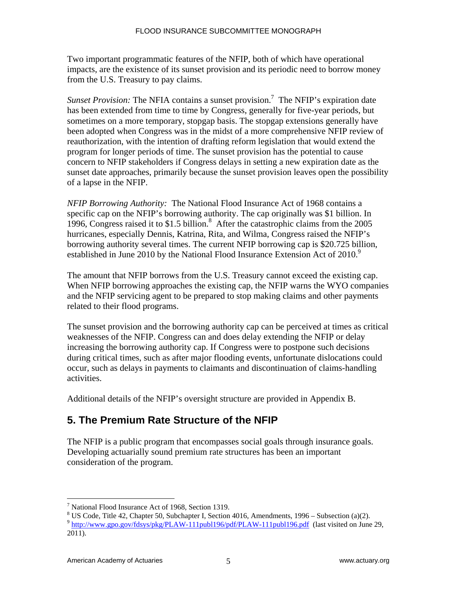Two important programmatic features of the NFIP, both of which have operational impacts, are the existence of its sunset provision and its periodic need to borrow money from the U.S. Treasury to pay claims.

*Sunset Provision:* The NFIA contains a sunset provision.<sup>7</sup> The NFIP's expiration date has been extended from time to time by Congress, generally for five-year periods, but sometimes on a more temporary, stopgap basis. The stopgap extensions generally have been adopted when Congress was in the midst of a more comprehensive NFIP review of reauthorization, with the intention of drafting reform legislation that would extend the program for longer periods of time. The sunset provision has the potential to cause concern to NFIP stakeholders if Congress delays in setting a new expiration date as the sunset date approaches, primarily because the sunset provision leaves open the possibility of a lapse in the NFIP.

*NFIP Borrowing Authority:* The National Flood Insurance Act of 1968 contains a specific cap on the NFIP's borrowing authority. The cap originally was \$1 billion. In 1996, Congress raised it to \$1.5 billion.<sup>8</sup> After the catastrophic claims from the 2005 hurricanes, especially Dennis, Katrina, Rita, and Wilma, Congress raised the NFIP's borrowing authority several times. The current NFIP borrowing cap is \$20.725 billion, established in June 2010 by the National Flood Insurance Extension Act of  $2010$ .<sup>9</sup>

The amount that NFIP borrows from the U.S. Treasury cannot exceed the existing cap. When NFIP borrowing approaches the existing cap, the NFIP warns the WYO companies and the NFIP servicing agent to be prepared to stop making claims and other payments related to their flood programs.

The sunset provision and the borrowing authority cap can be perceived at times as critical weaknesses of the NFIP. Congress can and does delay extending the NFIP or delay increasing the borrowing authority cap. If Congress were to postpone such decisions during critical times, such as after major flooding events, unfortunate dislocations could occur, such as delays in payments to claimants and discontinuation of claims-handling activities.

Additional details of the NFIP's oversight structure are provided in Appendix B.

# **5. The Premium Rate Structure of the NFIP**

The NFIP is a public program that encompasses social goals through insurance goals. Developing actuarially sound premium rate structures has been an important consideration of the program.

<sup>7</sup> National Flood Insurance Act of 1968, Section 1319.

 $8 \text{ US Code}$ , Title 42, Chapter 50, Subchapter I, Section 4016, Amendments, 1996 – Subsection (a)(2).

<sup>9</sup> http://www.gpo.gov/fdsys/pkg/PLAW-111publ196/pdf/PLAW-111publ196.pdf (last visited on June 29, 2011).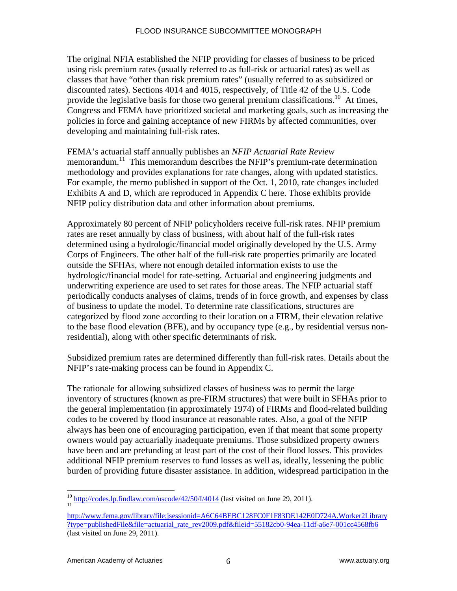The original NFIA established the NFIP providing for classes of business to be priced using risk premium rates (usually referred to as full-risk or actuarial rates) as well as classes that have "other than risk premium rates" (usually referred to as subsidized or discounted rates). Sections 4014 and 4015, respectively, of Title 42 of the U.S. Code provide the legislative basis for those two general premium classifications.<sup>10</sup> At times, Congress and FEMA have prioritized societal and marketing goals, such as increasing the policies in force and gaining acceptance of new FIRMs by affected communities, over developing and maintaining full-risk rates.

FEMA's actuarial staff annually publishes an *NFIP Actuarial Rate Review* memorandum.<sup>11</sup> This memorandum describes the NFIP's premium-rate determination methodology and provides explanations for rate changes, along with updated statistics. For example, the memo published in support of the Oct. 1, 2010, rate changes included Exhibits A and D, which are reproduced in Appendix C here. Those exhibits provide NFIP policy distribution data and other information about premiums.

Approximately 80 percent of NFIP policyholders receive full-risk rates. NFIP premium rates are reset annually by class of business, with about half of the full-risk rates determined using a hydrologic/financial model originally developed by the U.S. Army Corps of Engineers. The other half of the full-risk rate properties primarily are located outside the SFHAs, where not enough detailed information exists to use the hydrologic/financial model for rate-setting. Actuarial and engineering judgments and underwriting experience are used to set rates for those areas. The NFIP actuarial staff periodically conducts analyses of claims, trends of in force growth, and expenses by class of business to update the model. To determine rate classifications, structures are categorized by flood zone according to their location on a FIRM, their elevation relative to the base flood elevation (BFE), and by occupancy type (e.g., by residential versus nonresidential), along with other specific determinants of risk.

Subsidized premium rates are determined differently than full-risk rates. Details about the NFIP's rate-making process can be found in Appendix C.

The rationale for allowing subsidized classes of business was to permit the large inventory of structures (known as pre-FIRM structures) that were built in SFHAs prior to the general implementation (in approximately 1974) of FIRMs and flood-related building codes to be covered by flood insurance at reasonable rates. Also, a goal of the NFIP always has been one of encouraging participation, even if that meant that some property owners would pay actuarially inadequate premiums. Those subsidized property owners have been and are prefunding at least part of the cost of their flood losses. This provides additional NFIP premium reserves to fund losses as well as, ideally, lessening the public burden of providing future disaster assistance. In addition, widespread participation in the

 $\overline{a}$  $\frac{10}{11}$  http://codes.lp.findlaw.com/uscode/42/50/I/4014 (last visited on June 29, 2011).

http://www.fema.gov/library/file;jsessionid=A6C64BEBC128FC0F1F83DE142E0D724A.Worker2Library ?type=publishedFile&file=actuarial\_rate\_rev2009.pdf&fileid=55182cb0-94ea-11df-a6e7-001cc4568fb6 (last visited on June 29, 2011).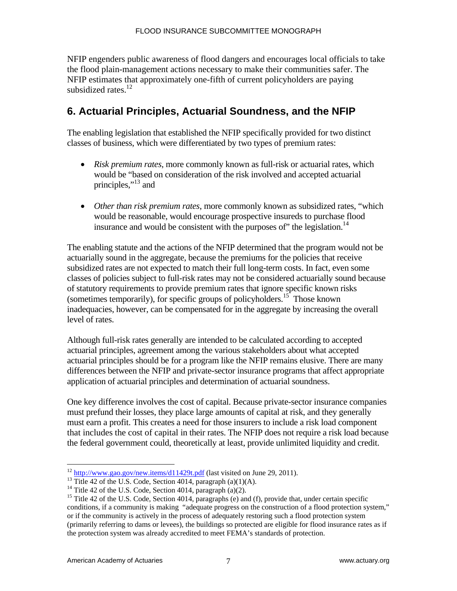NFIP engenders public awareness of flood dangers and encourages local officials to take the flood plain-management actions necessary to make their communities safer. The NFIP estimates that approximately one-fifth of current policyholders are paying subsidized rates. $^{12}$ 

# **6. Actuarial Principles, Actuarial Soundness, and the NFIP**

The enabling legislation that established the NFIP specifically provided for two distinct classes of business, which were differentiated by two types of premium rates:

- *Risk premium rates*, more commonly known as full-risk or actuarial rates, which would be "based on consideration of the risk involved and accepted actuarial principles,"13 and
- *Other than risk premium rates*, more commonly known as subsidized rates, "which would be reasonable, would encourage prospective insureds to purchase flood insurance and would be consistent with the purposes of  $\degree$  the legislation.<sup>14</sup>

The enabling statute and the actions of the NFIP determined that the program would not be actuarially sound in the aggregate, because the premiums for the policies that receive subsidized rates are not expected to match their full long-term costs. In fact, even some classes of policies subject to full-risk rates may not be considered actuarially sound because of statutory requirements to provide premium rates that ignore specific known risks (sometimes temporarily), for specific groups of policyholders.<sup>15</sup> Those known inadequacies, however, can be compensated for in the aggregate by increasing the overall level of rates.

Although full-risk rates generally are intended to be calculated according to accepted actuarial principles, agreement among the various stakeholders about what accepted actuarial principles should be for a program like the NFIP remains elusive. There are many differences between the NFIP and private-sector insurance programs that affect appropriate application of actuarial principles and determination of actuarial soundness.

One key difference involves the cost of capital. Because private-sector insurance companies must prefund their losses, they place large amounts of capital at risk, and they generally must earn a profit. This creates a need for those insurers to include a risk load component that includes the cost of capital in their rates. The NFIP does not require a risk load because the federal government could, theoretically at least, provide unlimited liquidity and credit.

<sup>&</sup>lt;sup>12</sup> http://www.gao.gov/new.items/d11429t.pdf (last visited on June 29, 2011).<br><sup>13</sup> Title 42 of the U.S. Code, Section 4014, paragraph (a)(1)(A).

<sup>&</sup>lt;sup>14</sup> Title 42 of the U.S. Code, Section 4014, paragraph (a)(2).

<sup>&</sup>lt;sup>15</sup> Title 42 of the U.S. Code, Section 4014, paragraphs (e) and (f), provide that, under certain specific conditions, if a community is making "adequate progress on the construction of a flood protection system," or if the community is actively in the process of adequately restoring such a flood protection system (primarily referring to dams or levees), the buildings so protected are eligible for flood insurance rates as if the protection system was already accredited to meet FEMA's standards of protection.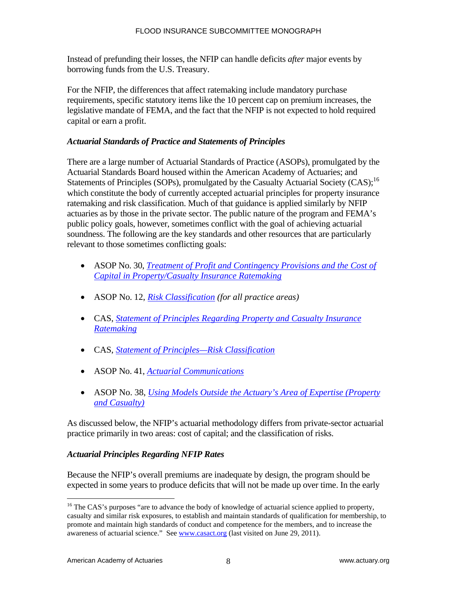Instead of prefunding their losses, the NFIP can handle deficits *after* major events by borrowing funds from the U.S. Treasury.

For the NFIP, the differences that affect ratemaking include mandatory purchase requirements, specific statutory items like the 10 percent cap on premium increases, the legislative mandate of FEMA, and the fact that the NFIP is not expected to hold required capital or earn a profit.

#### *Actuarial Standards of Practice and Statements of Principles*

There are a large number of Actuarial Standards of Practice (ASOPs), promulgated by the Actuarial Standards Board housed within the American Academy of Actuaries; and Statements of Principles (SOPs), promulgated by the Casualty Actuarial Society (CAS);<sup>16</sup> which constitute the body of currently accepted actuarial principles for property insurance ratemaking and risk classification. Much of that guidance is applied similarly by NFIP actuaries as by those in the private sector. The public nature of the program and FEMA's public policy goals, however, sometimes conflict with the goal of achieving actuarial soundness. The following are the key standards and other resources that are particularly relevant to those sometimes conflicting goals:

- ASOP No. 30, *Treatment of Profit and Contingency Provisions and the Cost of Capital in Property/Casualty Insurance Ratemaking*
- ASOP No. 12, *Risk Classification (for all practice areas)*
- CAS, *Statement of Principles Regarding Property and Casualty Insurance Ratemaking*
- CAS, *Statement of Principles—Risk Classification*
- ASOP No. 41, *Actuarial Communications*
- ASOP No. 38, *Using Models Outside the Actuary's Area of Expertise (Property and Casualty)*

As discussed below, the NFIP's actuarial methodology differs from private-sector actuarial practice primarily in two areas: cost of capital; and the classification of risks.

## *Actuarial Principles Regarding NFIP Rates*

Because the NFIP's overall premiums are inadequate by design, the program should be expected in some years to produce deficits that will not be made up over time. In the early

<sup>&</sup>lt;sup>16</sup> The CAS's purposes "are to advance the body of knowledge of actuarial science applied to property, casualty and similar risk exposures, to establish and maintain standards of qualification for membership, to promote and maintain high standards of conduct and competence for the members, and to increase the awareness of actuarial science." See www.casact.org (last visited on June 29, 2011).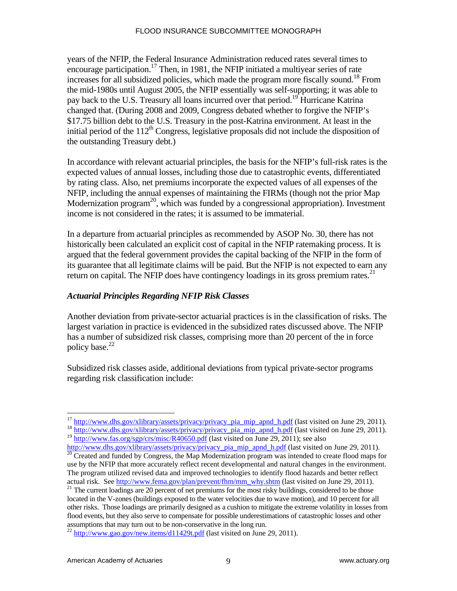years of the NFIP, the Federal Insurance Administration reduced rates several times to encourage participation.<sup>17</sup> Then, in 1981, the NFIP initiated a multiyear series of rate increases for all subsidized policies, which made the program more fiscally sound.<sup>18</sup> From the mid-1980s until August 2005, the NFIP essentially was self-supporting; it was able to pay back to the U.S. Treasury all loans incurred over that period.<sup>19</sup> Hurricane Katrina changed that. (During 2008 and 2009, Congress debated whether to forgive the NFIP's \$17.75 billion debt to the U.S. Treasury in the post-Katrina environment. At least in the initial period of the  $112<sup>th</sup>$  Congress, legislative proposals did not include the disposition of the outstanding Treasury debt.)

In accordance with relevant actuarial principles, the basis for the NFIP's full-risk rates is the expected values of annual losses, including those due to catastrophic events, differentiated by rating class. Also, net premiums incorporate the expected values of all expenses of the NFIP, including the annual expenses of maintaining the FIRMs (though not the prior Map Modernization program<sup>20</sup>, which was funded by a congressional appropriation). Investment income is not considered in the rates; it is assumed to be immaterial.

In a departure from actuarial principles as recommended by ASOP No. 30, there has not historically been calculated an explicit cost of capital in the NFIP ratemaking process. It is argued that the federal government provides the capital backing of the NFIP in the form of its guarantee that all legitimate claims will be paid. But the NFIP is not expected to earn any return on capital. The NFIP does have contingency loadings in its gross premium rates.<sup>21</sup>

#### *Actuarial Principles Regarding NFIP Risk Classes*

Another deviation from private-sector actuarial practices is in the classification of risks. The largest variation in practice is evidenced in the subsidized rates discussed above. The NFIP has a number of subsidized risk classes, comprising more than 20 percent of the in force policy base.<sup>22</sup>

Subsidized risk classes aside, additional deviations from typical private-sector programs regarding risk classification include:

<sup>&</sup>lt;sup>17</sup> http://www.dhs.gov/xlibrary/assets/privacy/privacy\_pia\_mip\_apnd\_h.pdf (last visited on June 29, 2011). <sup>17</sup> http://www.dhs.gov/xlibrary/assets/privacy/privacy\_pia\_mip\_apnd\_h.pdf (last visited on June 29, 2011). <sup>18</sup> http://www.dhs.gov/xlibrary/assets/privacy/privacy\_pia\_mip\_apnd\_h.pdf (last visited on June 29, 2011).

<sup>&</sup>lt;sup>19</sup> http://www.fas.org/sgp/crs/misc/R40650.pdf (last visited on June 29, 2011); see also

 $\frac{http://www.dhs.gov/xlibrary/assets/privacy/privacy_pia_mip_apnd_h.pdf}{20}$  (last visited on June 29, 2011).  $\frac{20}{20}$  Created and funded by Congress, the Map Modernization program was intended to create flood maps for

use by the NFIP that more accurately reflect recent developmental and natural changes in the environment. The program utilized revised data and improved technologies to identify flood hazards and better reflect

actual risk. See  $\frac{http://www.fema.gov/plan/prevent/fhm/mm why.shtm}{21}$  (last visited on June 29, 2011). <sup>21</sup> The current loadings are 20 percent of net premiums for the most risky buildings, considered to be those located in the V-zones (buildings exposed to the water velocities due to wave motion), and 10 percent for all other risks. Those loadings are primarily designed as a cushion to mitigate the extreme volatility in losses from flood events, but they also serve to compensate for possible underestimations of catastrophic losses and other assumptions that may turn out to be non-conservative in the long run.

 $^{22}$  http://www.gao.gov/new.items/d11429t.pdf (last visited on June 29, 2011).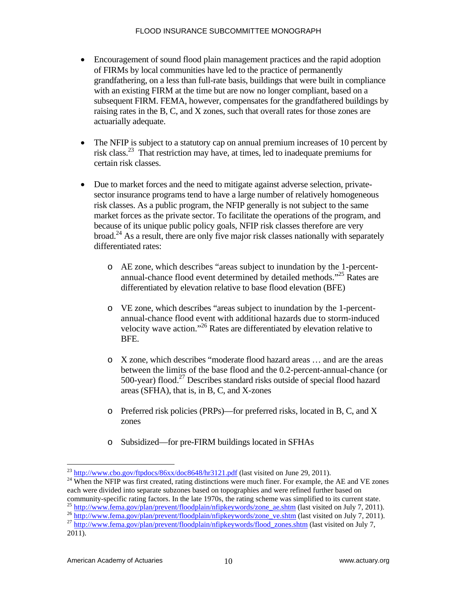- Encouragement of sound flood plain management practices and the rapid adoption of FIRMs by local communities have led to the practice of permanently grandfathering, on a less than full-rate basis, buildings that were built in compliance with an existing FIRM at the time but are now no longer compliant, based on a subsequent FIRM. FEMA, however, compensates for the grandfathered buildings by raising rates in the B, C, and X zones, such that overall rates for those zones are actuarially adequate.
- The NFIP is subject to a statutory cap on annual premium increases of 10 percent by risk class.23 That restriction may have, at times, led to inadequate premiums for certain risk classes.
- Due to market forces and the need to mitigate against adverse selection, privatesector insurance programs tend to have a large number of relatively homogeneous risk classes. As a public program, the NFIP generally is not subject to the same market forces as the private sector. To facilitate the operations of the program, and because of its unique public policy goals, NFIP risk classes therefore are very broad.<sup>24</sup> As a result, there are only five major risk classes nationally with separately differentiated rates:
	- o AE zone, which describes "areas subject to inundation by the 1-percentannual-chance flood event determined by detailed methods."25 Rates are differentiated by elevation relative to base flood elevation (BFE)
	- o VE zone, which describes "areas subject to inundation by the 1-percentannual-chance flood event with additional hazards due to storm-induced velocity wave action."26 Rates are differentiated by elevation relative to BFE.
	- o X zone, which describes "moderate flood hazard areas … and are the areas between the limits of the base flood and the 0.2-percent-annual-chance (or 500-year) flood.<sup>27</sup> Describes standard risks outside of special flood hazard areas (SFHA), that is, in B, C, and X-zones
	- o Preferred risk policies (PRPs)—for preferred risks, located in B, C, and X zones
	- o Subsidized—for pre-FIRM buildings located in SFHAs

 $^{23}$  http://www.cbo.gov/ftpdocs/86xx/doc8648/hr3121.pdf (last visited on June 29, 2011).

 $^{24}$  When the NFIP was first created, rating distinctions were much finer. For example, the AE and VE zones each were divided into separate subzones based on topographies and were refined further based on

community-specific rating factors. In the late 1970s, the rating scheme was simplified to its current state.<br>
<sup>25</sup> http://www.fema.gov/plan/prevent/floodplain/nfipkeywords/zone\_ae.shtm (last visited on July 7, 2011).<br>
<sup>26</sup>

<sup>2011).</sup>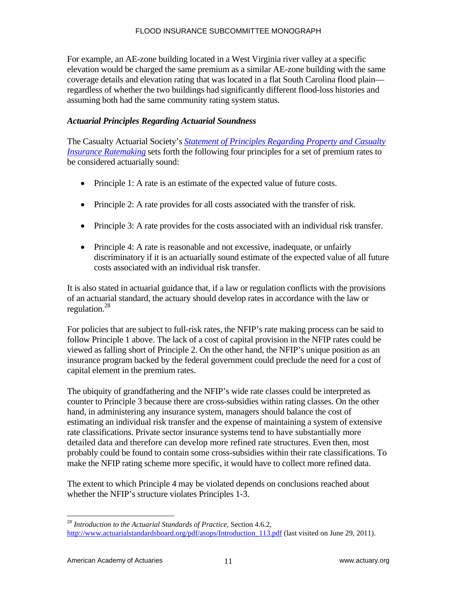For example, an AE-zone building located in a West Virginia river valley at a specific elevation would be charged the same premium as a similar AE-zone building with the same coverage details and elevation rating that was located in a flat South Carolina flood plain regardless of whether the two buildings had significantly different flood-loss histories and assuming both had the same community rating system status.

#### *Actuarial Principles Regarding Actuarial Soundness*

The Casualty Actuarial Society's *Statement of Principles Regarding Property and Casualty Insurance Ratemaking* sets forth the following four principles for a set of premium rates to be considered actuarially sound:

- Principle 1: A rate is an estimate of the expected value of future costs.
- Principle 2: A rate provides for all costs associated with the transfer of risk.
- Principle 3: A rate provides for the costs associated with an individual risk transfer.
- Principle 4: A rate is reasonable and not excessive, inadequate, or unfairly discriminatory if it is an actuarially sound estimate of the expected value of all future costs associated with an individual risk transfer.

It is also stated in actuarial guidance that, if a law or regulation conflicts with the provisions of an actuarial standard, the actuary should develop rates in accordance with the law or regulation.<sup>28</sup>

For policies that are subject to full-risk rates, the NFIP's rate making process can be said to follow Principle 1 above. The lack of a cost of capital provision in the NFIP rates could be viewed as falling short of Principle 2. On the other hand, the NFIP's unique position as an insurance program backed by the federal government could preclude the need for a cost of capital element in the premium rates.

The ubiquity of grandfathering and the NFIP's wide rate classes could be interpreted as counter to Principle 3 because there are cross-subsidies within rating classes. On the other hand, in administering any insurance system, managers should balance the cost of estimating an individual risk transfer and the expense of maintaining a system of extensive rate classifications. Private sector insurance systems tend to have substantially more detailed data and therefore can develop more refined rate structures. Even then, most probably could be found to contain some cross-subsidies within their rate classifications. To make the NFIP rating scheme more specific, it would have to collect more refined data.

The extent to which Principle 4 may be violated depends on conclusions reached about whether the NFIP's structure violates Principles 1-3.

<sup>28</sup> *Introduction to the Actuarial Standards of Practice*, Section 4.6.2, http://www.actuarialstandardsboard.org/pdf/asops/Introduction 113.pdf (last visited on June 29, 2011).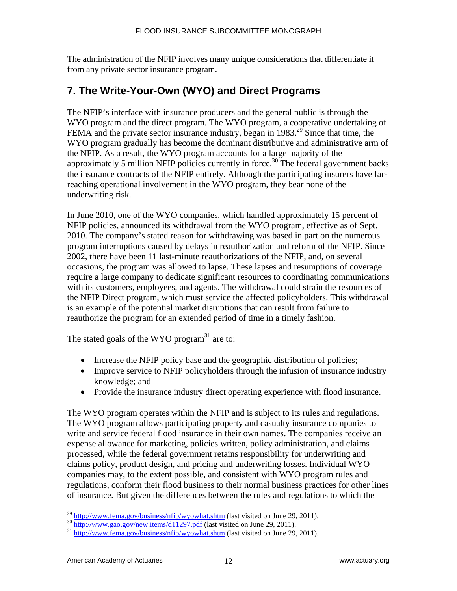The administration of the NFIP involves many unique considerations that differentiate it from any private sector insurance program.

# **7. The Write-Your-Own (WYO) and Direct Programs**

The NFIP's interface with insurance producers and the general public is through the WYO program and the direct program. The WYO program, a cooperative undertaking of FEMA and the private sector insurance industry, began in  $1983.<sup>29</sup>$  Since that time, the WYO program gradually has become the dominant distributive and administrative arm of the NFIP. As a result, the WYO program accounts for a large majority of the approximately 5 million NFIP policies currently in force.<sup>30</sup> The federal government backs the insurance contracts of the NFIP entirely. Although the participating insurers have farreaching operational involvement in the WYO program, they bear none of the underwriting risk.

In June 2010, one of the WYO companies, which handled approximately 15 percent of NFIP policies, announced its withdrawal from the WYO program, effective as of Sept. 2010. The company's stated reason for withdrawing was based in part on the numerous program interruptions caused by delays in reauthorization and reform of the NFIP. Since 2002, there have been 11 last-minute reauthorizations of the NFIP, and, on several occasions, the program was allowed to lapse. These lapses and resumptions of coverage require a large company to dedicate significant resources to coordinating communications with its customers, employees, and agents. The withdrawal could strain the resources of the NFIP Direct program, which must service the affected policyholders. This withdrawal is an example of the potential market disruptions that can result from failure to reauthorize the program for an extended period of time in a timely fashion.

The stated goals of the WYO program<sup>31</sup> are to:

- Increase the NFIP policy base and the geographic distribution of policies;
- Improve service to NFIP policyholders through the infusion of insurance industry knowledge; and
- Provide the insurance industry direct operating experience with flood insurance.

The WYO program operates within the NFIP and is subject to its rules and regulations. The WYO program allows participating property and casualty insurance companies to write and service federal flood insurance in their own names. The companies receive an expense allowance for marketing, policies written, policy administration, and claims processed, while the federal government retains responsibility for underwriting and claims policy, product design, and pricing and underwriting losses. Individual WYO companies may, to the extent possible, and consistent with WYO program rules and regulations, conform their flood business to their normal business practices for other lines of insurance. But given the differences between the rules and regulations to which the

 $\frac{\frac{29 \text{ http://www.fema.gov/business/nfip/wyowhat.shtm}}{\frac{30 \text{ http://www.gao.gov/news/new.items/d11297.pdf}}{\frac{30 \text{ http://www.gao.gov/news/new.items/d11297.pdf}}{\frac{30 \text{ http://www.gao.gov/news/new.items/d11297.pdf}}{\frac{31 \text{ http://www.fema.gov/business/nfip/wyowhat.shtm}}{\frac{31 \text{ http://www.fema.gov/business/nfip/wyowhat.shtm}}{\frac{31 \text{ http://www.fema.gov/business/nfip/wyowhat.shtm}}{\frac{31 \text{ http://www.fema.gov/business/nfip/wyowhat.s$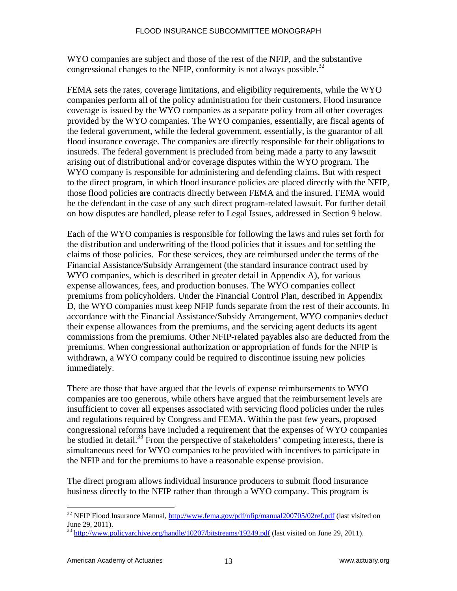WYO companies are subject and those of the rest of the NFIP, and the substantive congressional changes to the NFIP, conformity is not always possible.<sup>32</sup>

FEMA sets the rates, coverage limitations, and eligibility requirements, while the WYO companies perform all of the policy administration for their customers. Flood insurance coverage is issued by the WYO companies as a separate policy from all other coverages provided by the WYO companies. The WYO companies, essentially, are fiscal agents of the federal government, while the federal government, essentially, is the guarantor of all flood insurance coverage. The companies are directly responsible for their obligations to insureds. The federal government is precluded from being made a party to any lawsuit arising out of distributional and/or coverage disputes within the WYO program. The WYO company is responsible for administering and defending claims. But with respect to the direct program, in which flood insurance policies are placed directly with the NFIP, those flood policies are contracts directly between FEMA and the insured. FEMA would be the defendant in the case of any such direct program-related lawsuit. For further detail on how disputes are handled, please refer to Legal Issues, addressed in Section 9 below.

Each of the WYO companies is responsible for following the laws and rules set forth for the distribution and underwriting of the flood policies that it issues and for settling the claims of those policies. For these services, they are reimbursed under the terms of the Financial Assistance/Subsidy Arrangement (the standard insurance contract used by WYO companies, which is described in greater detail in Appendix A), for various expense allowances, fees, and production bonuses. The WYO companies collect premiums from policyholders. Under the Financial Control Plan, described in Appendix D, the WYO companies must keep NFIP funds separate from the rest of their accounts. In accordance with the Financial Assistance/Subsidy Arrangement, WYO companies deduct their expense allowances from the premiums, and the servicing agent deducts its agent commissions from the premiums. Other NFIP-related payables also are deducted from the premiums. When congressional authorization or appropriation of funds for the NFIP is withdrawn, a WYO company could be required to discontinue issuing new policies immediately.

There are those that have argued that the levels of expense reimbursements to WYO companies are too generous, while others have argued that the reimbursement levels are insufficient to cover all expenses associated with servicing flood policies under the rules and regulations required by Congress and FEMA. Within the past few years, proposed congressional reforms have included a requirement that the expenses of WYO companies be studied in detail.<sup>33</sup> From the perspective of stakeholders' competing interests, there is simultaneous need for WYO companies to be provided with incentives to participate in the NFIP and for the premiums to have a reasonable expense provision.

The direct program allows individual insurance producers to submit flood insurance business directly to the NFIP rather than through a WYO company. This program is

<sup>&</sup>lt;sup>32</sup> NFIP Flood Insurance Manual, http://www.fema.gov/pdf/nfip/manual200705/02ref.pdf (last visited on June 29, 2011).

<sup>&</sup>lt;sup>33</sup> http://www.policyarchive.org/handle/10207/bitstreams/19249.pdf (last visited on June 29, 2011).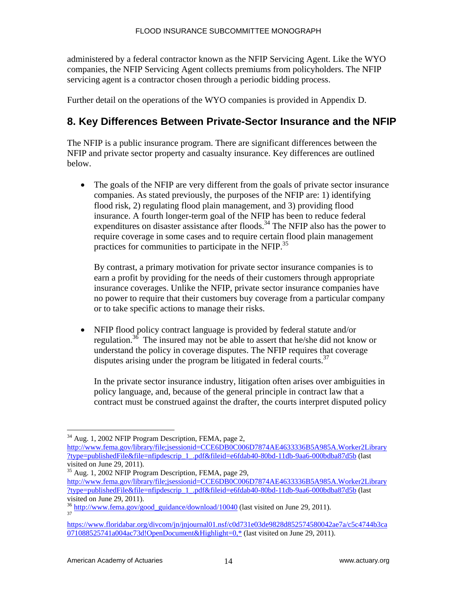administered by a federal contractor known as the NFIP Servicing Agent. Like the WYO companies, the NFIP Servicing Agent collects premiums from policyholders. The NFIP servicing agent is a contractor chosen through a periodic bidding process.

Further detail on the operations of the WYO companies is provided in Appendix D.

# **8. Key Differences Between Private-Sector Insurance and the NFIP**

The NFIP is a public insurance program. There are significant differences between the NFIP and private sector property and casualty insurance. Key differences are outlined below.

 The goals of the NFIP are very different from the goals of private sector insurance companies. As stated previously, the purposes of the NFIP are: 1) identifying flood risk, 2) regulating flood plain management, and 3) providing flood insurance. A fourth longer-term goal of the NFIP has been to reduce federal expenditures on disaster assistance after floods.<sup>34</sup> The NFIP also has the power to require coverage in some cases and to require certain flood plain management practices for communities to participate in the NFIP.<sup>35</sup>

By contrast, a primary motivation for private sector insurance companies is to earn a profit by providing for the needs of their customers through appropriate insurance coverages. Unlike the NFIP, private sector insurance companies have no power to require that their customers buy coverage from a particular company or to take specific actions to manage their risks.

 NFIP flood policy contract language is provided by federal statute and/or regulation.36 The insured may not be able to assert that he/she did not know or understand the policy in coverage disputes. The NFIP requires that coverage disputes arising under the program be litigated in federal courts.<sup>37</sup>

In the private sector insurance industry, litigation often arises over ambiguities in policy language, and, because of the general principle in contract law that a contract must be construed against the drafter, the courts interpret disputed policy

 $\overline{a}$ <sup>34</sup> Aug. 1, 2002 NFIP Program Description, FEMA, page 2,

http://www.fema.gov/library/file;jsessionid=CCE6DB0C006D7874AE4633336B5A985A.Worker2Library ?type=publishedFile&file=nfipdescrip\_1\_.pdf&fileid=e6fdab40-80bd-11db-9aa6-000bdba87d5b (last visited on June 29, 2011).

<sup>35</sup> Aug. 1, 2002 NFIP Program Description, FEMA, page 29, http://www.fema.gov/library/file;jsessionid=CCE6DB0C006D7874AE4633336B5A985A.Worker2Library ?type=publishedFile&file=nfipdescrip\_1\_.pdf&fileid=e6fdab40-80bd-11db-9aa6-000bdba87d5b (last visited on June 29, 2011).

 $\frac{36}{37}$  http://www.fema.gov/good\_guidance/download/10040 (last visited on June 29, 2011).

https://www.floridabar.org/divcom/jn/jnjournal01.nsf/c0d731e03de9828d852574580042ae7a/c5c4744b3ca 071088525741a004ac73d!OpenDocument&Highlight=0,\* (last visited on June 29, 2011).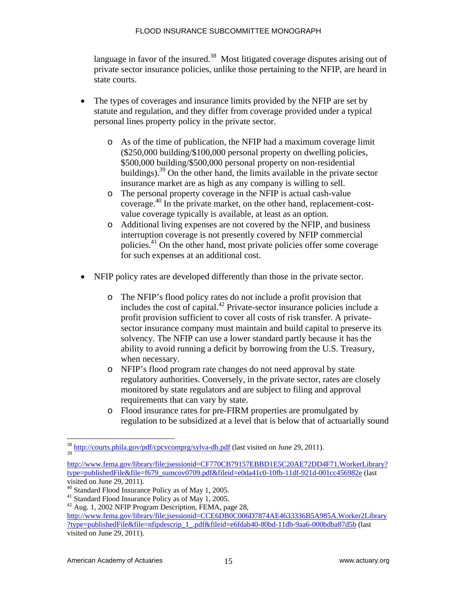language in favor of the insured.<sup>38</sup> Most litigated coverage disputes arising out of private sector insurance policies, unlike those pertaining to the NFIP, are heard in state courts.

- The types of coverages and insurance limits provided by the NFIP are set by statute and regulation, and they differ from coverage provided under a typical personal lines property policy in the private sector.
	- o As of the time of publication, the NFIP had a maximum coverage limit (\$250,000 building/\$100,000 personal property on dwelling policies, \$500,000 building/\$500,000 personal property on non-residential buildings).39 On the other hand, the limits available in the private sector insurance market are as high as any company is willing to sell.
	- o The personal property coverage in the NFIP is actual cash-value coverage.40 In the private market, on the other hand, replacement-costvalue coverage typically is available, at least as an option.
	- o Additional living expenses are not covered by the NFIP, and business interruption coverage is not presently covered by NFIP commercial policies.41 On the other hand, most private policies offer some coverage for such expenses at an additional cost.
- NFIP policy rates are developed differently than those in the private sector.
	- o The NFIP's flood policy rates do not include a profit provision that includes the cost of capital.42 Private-sector insurance policies include a profit provision sufficient to cover all costs of risk transfer. A privatesector insurance company must maintain and build capital to preserve its solvency. The NFIP can use a lower standard partly because it has the ability to avoid running a deficit by borrowing from the U.S. Treasury, when necessary.
	- o NFIP's flood program rate changes do not need approval by state regulatory authorities. Conversely, in the private sector, rates are closely monitored by state regulators and are subject to filing and approval requirements that can vary by state.
	- o Flood insurance rates for pre-FIRM properties are promulgated by regulation to be subsidized at a level that is below that of actuarially sound

http://courts.phila.gov/pdf/cpcvcomprg/sylva-dh.pdf (last visited on June 29, 2011). 39

http://www.fema.gov/library/file;jsessionid=CF770CB79157EBBD1E5C20AE72DD4F71.WorkerLibrary? type=publishedFile&file=f679\_sumcov0709.pdf&fileid=e0da41c0-10fb-11df-921d-001cc456982e (last visited on June 29, 2011).

<sup>40</sup> Standard Flood Insurance Policy as of May 1, 2005.

<sup>41</sup> Standard Flood Insurance Policy as of May 1, 2005.

<sup>&</sup>lt;sup>42</sup> Aug. 1, 2002 NFIP Program Description, FEMA, page 28,

http://www.fema.gov/library/file;jsessionid=CCE6DB0C006D7874AE4633336B5A985A.Worker2Library ?type=publishedFile&file=nfipdescrip\_1\_.pdf&fileid=e6fdab40-80bd-11db-9aa6-000bdba87d5b (last visited on June 29, 2011).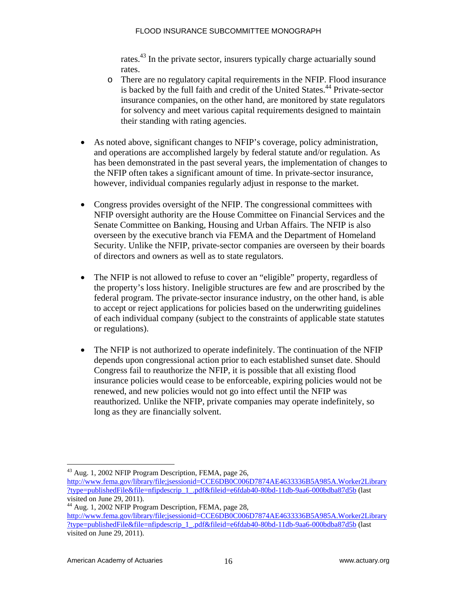rates.43 In the private sector, insurers typically charge actuarially sound rates.

- o There are no regulatory capital requirements in the NFIP. Flood insurance is backed by the full faith and credit of the United States.<sup>44</sup> Private-sector insurance companies, on the other hand, are monitored by state regulators for solvency and meet various capital requirements designed to maintain their standing with rating agencies.
- As noted above, significant changes to NFIP's coverage, policy administration, and operations are accomplished largely by federal statute and/or regulation. As has been demonstrated in the past several years, the implementation of changes to the NFIP often takes a significant amount of time. In private-sector insurance, however, individual companies regularly adjust in response to the market.
- Congress provides oversight of the NFIP. The congressional committees with NFIP oversight authority are the House Committee on Financial Services and the Senate Committee on Banking, Housing and Urban Affairs. The NFIP is also overseen by the executive branch via FEMA and the Department of Homeland Security. Unlike the NFIP, private-sector companies are overseen by their boards of directors and owners as well as to state regulators.
- The NFIP is not allowed to refuse to cover an "eligible" property, regardless of the property's loss history. Ineligible structures are few and are proscribed by the federal program. The private-sector insurance industry, on the other hand, is able to accept or reject applications for policies based on the underwriting guidelines of each individual company (subject to the constraints of applicable state statutes or regulations).
- The NFIP is not authorized to operate indefinitely. The continuation of the NFIP depends upon congressional action prior to each established sunset date. Should Congress fail to reauthorize the NFIP, it is possible that all existing flood insurance policies would cease to be enforceable, expiring policies would not be renewed, and new policies would not go into effect until the NFIP was reauthorized. Unlike the NFIP, private companies may operate indefinitely, so long as they are financially solvent.

<sup>&</sup>lt;sup>43</sup> Aug. 1, 2002 NFIP Program Description, FEMA, page 26,

http://www.fema.gov/library/file;jsessionid=CCE6DB0C006D7874AE4633336B5A985A.Worker2Library ?type=publishedFile&file=nfipdescrip\_1\_.pdf&fileid=e6fdab40-80bd-11db-9aa6-000bdba87d5b (last visited on June 29, 2011).

 $^{44}$  Aug. 1, 2002 NFIP Program Description, FEMA, page 28, http://www.fema.gov/library/file;jsessionid=CCE6DB0C006D7874AE4633336B5A985A.Worker2Library ?type=publishedFile&file=nfipdescrip\_1\_.pdf&fileid=e6fdab40-80bd-11db-9aa6-000bdba87d5b (last visited on June 29, 2011).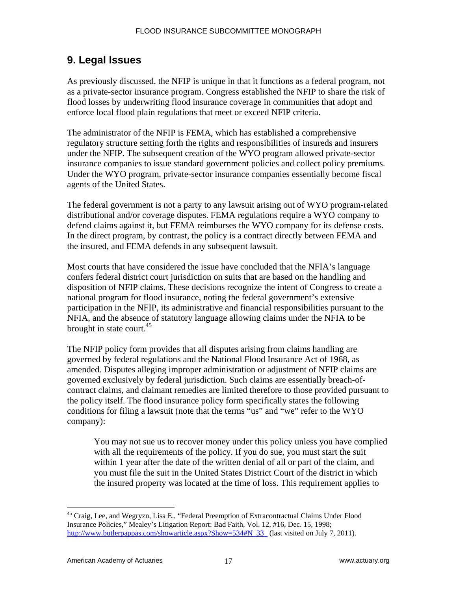# **9. Legal Issues**

As previously discussed, the NFIP is unique in that it functions as a federal program, not as a private-sector insurance program. Congress established the NFIP to share the risk of flood losses by underwriting flood insurance coverage in communities that adopt and enforce local flood plain regulations that meet or exceed NFIP criteria.

The administrator of the NFIP is FEMA, which has established a comprehensive regulatory structure setting forth the rights and responsibilities of insureds and insurers under the NFIP. The subsequent creation of the WYO program allowed private-sector insurance companies to issue standard government policies and collect policy premiums. Under the WYO program, private-sector insurance companies essentially become fiscal agents of the United States.

The federal government is not a party to any lawsuit arising out of WYO program-related distributional and/or coverage disputes. FEMA regulations require a WYO company to defend claims against it, but FEMA reimburses the WYO company for its defense costs. In the direct program, by contrast, the policy is a contract directly between FEMA and the insured, and FEMA defends in any subsequent lawsuit.

Most courts that have considered the issue have concluded that the NFIA's language confers federal district court jurisdiction on suits that are based on the handling and disposition of NFIP claims. These decisions recognize the intent of Congress to create a national program for flood insurance, noting the federal government's extensive participation in the NFIP, its administrative and financial responsibilities pursuant to the NFIA, and the absence of statutory language allowing claims under the NFIA to be brought in state court. $45$ 

The NFIP policy form provides that all disputes arising from claims handling are governed by federal regulations and the National Flood Insurance Act of 1968, as amended. Disputes alleging improper administration or adjustment of NFIP claims are governed exclusively by federal jurisdiction. Such claims are essentially breach-ofcontract claims, and claimant remedies are limited therefore to those provided pursuant to the policy itself. The flood insurance policy form specifically states the following conditions for filing a lawsuit (note that the terms "us" and "we" refer to the WYO company):

You may not sue us to recover money under this policy unless you have complied with all the requirements of the policy. If you do sue, you must start the suit within 1 year after the date of the written denial of all or part of the claim, and you must file the suit in the United States District Court of the district in which the insured property was located at the time of loss. This requirement applies to

 $\overline{a}$ 45 Craig, Lee, and Wegryzn, Lisa E., "Federal Preemption of Extracontractual Claims Under Flood Insurance Policies," Mealey's Litigation Report: Bad Faith, Vol. 12, #16, Dec. 15, 1998; http://www.butlerpappas.com/showarticle.aspx?Show=534#N\_33\_ (last visited on July 7, 2011).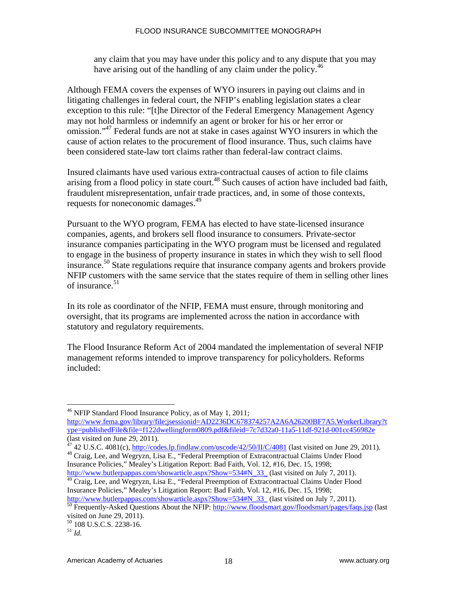any claim that you may have under this policy and to any dispute that you may have arising out of the handling of any claim under the policy.<sup>46</sup>

Although FEMA covers the expenses of WYO insurers in paying out claims and in litigating challenges in federal court, the NFIP's enabling legislation states a clear exception to this rule: "[t]he Director of the Federal Emergency Management Agency may not hold harmless or indemnify an agent or broker for his or her error or omission."47 Federal funds are not at stake in cases against WYO insurers in which the cause of action relates to the procurement of flood insurance. Thus, such claims have been considered state-law tort claims rather than federal-law contract claims.

Insured claimants have used various extra-contractual causes of action to file claims arising from a flood policy in state court.<sup>48</sup> Such causes of action have included bad faith, fraudulent misrepresentation, unfair trade practices, and, in some of those contexts, requests for noneconomic damages.<sup>49</sup>

Pursuant to the WYO program, FEMA has elected to have state-licensed insurance companies, agents, and brokers sell flood insurance to consumers. Private-sector insurance companies participating in the WYO program must be licensed and regulated to engage in the business of property insurance in states in which they wish to sell flood insurance.<sup>50</sup> State regulations require that insurance company agents and brokers provide NFIP customers with the same service that the states require of them in selling other lines of insurance.<sup>51</sup>

In its role as coordinator of the NFIP, FEMA must ensure, through monitoring and oversight, that its programs are implemented across the nation in accordance with statutory and regulatory requirements.

The Flood Insurance Reform Act of 2004 mandated the implementation of several NFIP management reforms intended to improve transparency for policyholders. Reforms included:

<sup>48</sup> Craig, Lee, and Wegryzn, Lisa E., "Federal Preemption of Extracontractual Claims Under Flood Insurance Policies," Mealey's Litigation Report: Bad Faith, Vol. 12, #16, Dec. 15, 1998;

http://www.butlerpappas.com/showarticle.aspx?Show=534#N\_33\_ (last visited on July 7, 2011). <sup>49</sup> Craig, Lee, and Wegryzn, Lisa E., "Federal Preemption of Extracontractual Claims Under Flood

Insurance Policies," Mealey's Litigation Report: Bad Faith, Vol. 12, #16, Dec. 15, 1998;

 $\overline{a}$ 46 NFIP Standard Flood Insurance Policy, as of May 1, 2011;

http://www.fema.gov/library/file;jsessionid=AD2236DC678374257A2A6A26200BF7A5.WorkerLibrary?t ype=publishedFile&file=f122dwellingform0809.pdf&fileid=7c7d32a0-11a5-11df-921d-001cc456982e (last visited on June 29, 2011).<br> $^{47}$  42 U.S.C. 4081(c), http://codes.lp.findlaw.com/uscode/42/50/II/C/4081 (last visited on June 29, 2011).

http://www.butlerpappas.com/showarticle.aspx?Show=534#N\_33\_ (last visited on July 7, 2011).<br><sup>50</sup> Frequently-Asked Questions About the NFIP: <u>http://www.floodsmart.gov/floodsmart/pages/faqs.jsp</u> (last visited on June 29, 2011).

<sup>50 108</sup> U.S.C.S. 2238-16.

 $^{51}$  *Id.*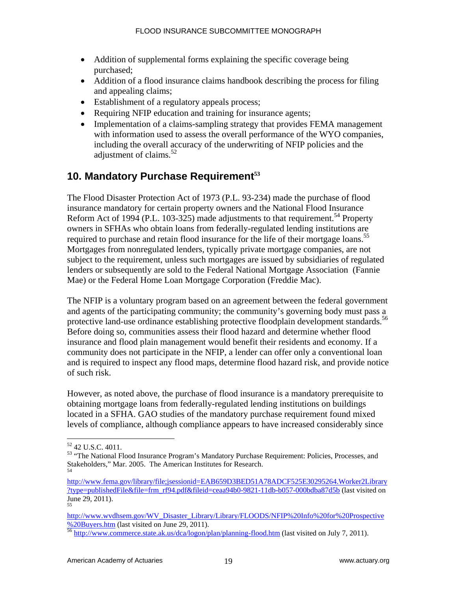- Addition of supplemental forms explaining the specific coverage being purchased;
- Addition of a flood insurance claims handbook describing the process for filing and appealing claims;
- Establishment of a regulatory appeals process;
- Requiring NFIP education and training for insurance agents;
- Implementation of a claims-sampling strategy that provides FEMA management with information used to assess the overall performance of the WYO companies, including the overall accuracy of the underwriting of NFIP policies and the adjustment of claims. $52$

# **10. Mandatory Purchase Requirement<sup>53</sup>**

The Flood Disaster Protection Act of 1973 (P.L. 93-234) made the purchase of flood insurance mandatory for certain property owners and the National Flood Insurance Reform Act of 1994 (P.L. 103-325) made adjustments to that requirement.<sup>54</sup> Property owners in SFHAs who obtain loans from federally-regulated lending institutions are required to purchase and retain flood insurance for the life of their mortgage loans.<sup>55</sup> Mortgages from nonregulated lenders, typically private mortgage companies, are not subject to the requirement, unless such mortgages are issued by subsidiaries of regulated lenders or subsequently are sold to the Federal National Mortgage Association (Fannie Mae) or the Federal Home Loan Mortgage Corporation (Freddie Mac).

The NFIP is a voluntary program based on an agreement between the federal government and agents of the participating community; the community's governing body must pass a protective land-use ordinance establishing protective floodplain development standards.<sup>56</sup> Before doing so, communities assess their flood hazard and determine whether flood insurance and flood plain management would benefit their residents and economy. If a community does not participate in the NFIP, a lender can offer only a conventional loan and is required to inspect any flood maps, determine flood hazard risk, and provide notice of such risk.

However, as noted above, the purchase of flood insurance is a mandatory prerequisite to obtaining mortgage loans from federally-regulated lending institutions on buildings located in a SFHA. GAO studies of the mandatory purchase requirement found mixed levels of compliance, although compliance appears to have increased considerably since

1

<sup>52 42</sup> U.S.C. 4011.

<sup>&</sup>lt;sup>53</sup> "The National Flood Insurance Program's Mandatory Purchase Requirement: Policies, Processes, and Stakeholders," Mar. 2005. The American Institutes for Research.

http://www.fema.gov/library/file;jsessionid=EAB659D3BED51A78ADCF525E30295264.Worker2Library ?type=publishedFile&file=frm\_rf94.pdf&fileid=ceaa94b0-9821-11db-b057-000bdba87d5b (last visited on June 29, 2011). 55

http://www.wvdhsem.gov/WV\_Disaster\_Library/Library/FLOODS/NFIP%20Info%20for%20Prospective %20Buyers.htm (last visited on June 29, 2011).<br><sup>56</sup> http://www.commerce.state.ak.us/dca/logon/plan/planning-flood.htm (last visited on July 7, 2011).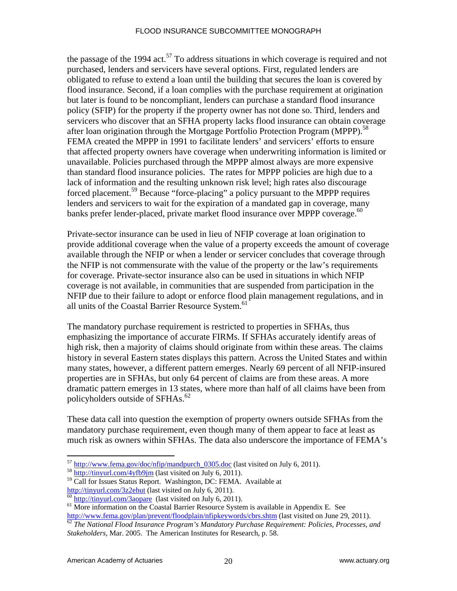the passage of the 1994 act.<sup>57</sup> To address situations in which coverage is required and not purchased, lenders and servicers have several options. First, regulated lenders are obligated to refuse to extend a loan until the building that secures the loan is covered by flood insurance. Second, if a loan complies with the purchase requirement at origination but later is found to be noncompliant, lenders can purchase a standard flood insurance policy (SFIP) for the property if the property owner has not done so. Third, lenders and servicers who discover that an SFHA property lacks flood insurance can obtain coverage after loan origination through the Mortgage Portfolio Protection Program (MPPP).<sup>58</sup> FEMA created the MPPP in 1991 to facilitate lenders' and servicers' efforts to ensure that affected property owners have coverage when underwriting information is limited or unavailable. Policies purchased through the MPPP almost always are more expensive than standard flood insurance policies. The rates for MPPP policies are high due to a lack of information and the resulting unknown risk level; high rates also discourage forced placement.<sup>59</sup> Because "force-placing" a policy pursuant to the MPPP requires lenders and servicers to wait for the expiration of a mandated gap in coverage, many banks prefer lender-placed, private market flood insurance over MPPP coverage.<sup>60</sup>

Private-sector insurance can be used in lieu of NFIP coverage at loan origination to provide additional coverage when the value of a property exceeds the amount of coverage available through the NFIP or when a lender or servicer concludes that coverage through the NFIP is not commensurate with the value of the property or the law's requirements for coverage. Private-sector insurance also can be used in situations in which NFIP coverage is not available, in communities that are suspended from participation in the NFIP due to their failure to adopt or enforce flood plain management regulations, and in all units of the Coastal Barrier Resource System.<sup>61</sup>

The mandatory purchase requirement is restricted to properties in SFHAs, thus emphasizing the importance of accurate FIRMs. If SFHAs accurately identify areas of high risk, then a majority of claims should originate from within these areas. The claims history in several Eastern states displays this pattern. Across the United States and within many states, however, a different pattern emerges. Nearly 69 percent of all NFIP-insured properties are in SFHAs, but only 64 percent of claims are from these areas. A more dramatic pattern emerges in 13 states, where more than half of all claims have been from policyholders outside of SFHAs.<sup>62</sup>

These data call into question the exemption of property owners outside SFHAs from the mandatory purchase requirement, even though many of them appear to face at least as much risk as owners within SFHAs. The data also underscore the importance of FEMA's

 $^{57}$  http://www.fema.gov/doc/nfip/mandpurch\_0305.doc (last visited on July 6, 2011).<br><sup>58</sup> http://tinyurl.com/4yfb9jm (last visited on July 6, 2011).

 $^{59}$  Call for Issues Status Report. Washington, DC: FEMA. Available at http://tinyurl.com/3z2ehut (last visited on July 6, 2011).

 $\frac{60 \text{ http://tinyurl.com/3aopare}}{60 \text{http://tinyurl.com/3aopare}}$  (last visited on July 6, 2011).<br><sup>61</sup> More information on the Coastal Barrier Resource System is available in Appendix E. See<br>http://www.fema.gov/plan/prevent/floodplain/nfipkeywords/

http://www.fema.gov/plan.gov/plan.gov/plan.gov/plan/filosoft/floodplanain/filosoft/floodplanain. 62<br><sup>62</sup> The National Flood Insurance Program's Mandatory Purchase Requirement: Policies, Processes, and *Stakeholders*, Mar. 2005. The American Institutes for Research, p. 58.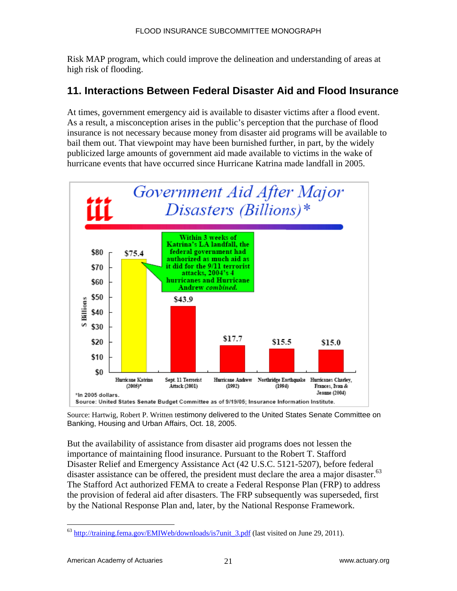Risk MAP program, which could improve the delineation and understanding of areas at high risk of flooding.

# **11. Interactions Between Federal Disaster Aid and Flood Insurance**

At times, government emergency aid is available to disaster victims after a flood event. As a result, a misconception arises in the public's perception that the purchase of flood insurance is not necessary because money from disaster aid programs will be available to bail them out. That viewpoint may have been burnished further, in part, by the widely publicized large amounts of government aid made available to victims in the wake of hurricane events that have occurred since Hurricane Katrina made landfall in 2005.



Source: Hartwig, Robert P. Written testimony delivered to the United States Senate Committee on Banking, Housing and Urban Affairs, Oct. 18, 2005.

But the availability of assistance from disaster aid programs does not lessen the importance of maintaining flood insurance. Pursuant to the Robert T. Stafford Disaster Relief and Emergency Assistance Act (42 U.S.C. 5121-5207), before federal disaster assistance can be offered, the president must declare the area a major disaster.<sup>63</sup> The Stafford Act authorized FEMA to create a Federal Response Plan (FRP) to address the provision of federal aid after disasters. The FRP subsequently was superseded, first by the National Response Plan and, later, by the National Response Framework.

<u>.</u>

<sup>&</sup>lt;sup>63</sup> http://training.fema.gov/EMIWeb/downloads/is7unit\_3.pdf (last visited on June 29, 2011).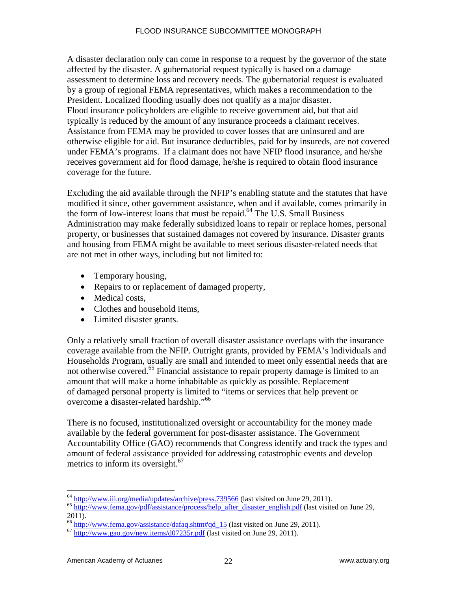A disaster declaration only can come in response to a request by the governor of the state affected by the disaster. A gubernatorial request typically is based on a damage assessment to determine loss and recovery needs. The gubernatorial request is evaluated by a group of regional FEMA representatives, which makes a recommendation to the President. Localized flooding usually does not qualify as a major disaster. Flood insurance policyholders are eligible to receive government aid, but that aid typically is reduced by the amount of any insurance proceeds a claimant receives. Assistance from FEMA may be provided to cover losses that are uninsured and are otherwise eligible for aid. But insurance deductibles, paid for by insureds, are not covered under FEMA's programs. If a claimant does not have NFIP flood insurance, and he/she receives government aid for flood damage, he/she is required to obtain flood insurance coverage for the future.

Excluding the aid available through the NFIP's enabling statute and the statutes that have modified it since, other government assistance, when and if available, comes primarily in the form of low-interest loans that must be repaid.<sup>64</sup> The U.S. Small Business Administration may make federally subsidized loans to repair or replace homes, personal property, or businesses that sustained damages not covered by insurance. Disaster grants and housing from FEMA might be available to meet serious disaster-related needs that are not met in other ways, including but not limited to:

- Temporary housing,
- Repairs to or replacement of damaged property,
- Medical costs,
- Clothes and household items.
- Limited disaster grants.

Only a relatively small fraction of overall disaster assistance overlaps with the insurance coverage available from the NFIP. Outright grants, provided by FEMA's Individuals and Households Program, usually are small and intended to meet only essential needs that are not otherwise covered.<sup>65</sup> Financial assistance to repair property damage is limited to an amount that will make a home inhabitable as quickly as possible. Replacement of damaged personal property is limited to "items or services that help prevent or overcome a disaster-related hardship."<sup>66</sup>

There is no focused, institutionalized oversight or accountability for the money made available by the federal government for post-disaster assistance. The Government Accountability Office (GAO) recommends that Congress identify and track the types and amount of federal assistance provided for addressing catastrophic events and develop metrics to inform its oversight. $67$ 

<sup>&</sup>lt;sup>64</sup> http://www.iii.org/media/updates/archive/press.739566 (last visited on June 29, 2011).

<sup>&</sup>lt;sup>65</sup> http://www.fema.gov/pdf/assistance/process/help\_after\_disaster\_english.pdf (last visited on June 29, 2011).

 $^{66}$  http://www.fema.gov/assistance/dafaq.shtm#qd\_15 (last visited on June 29, 2011).<br> $^{67}$  http://www.gao.gov/new.items/d07235r.pdf (last visited on June 29, 2011).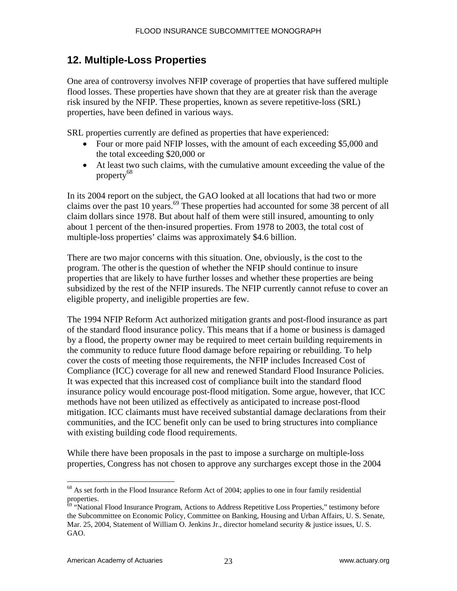# **12. Multiple-Loss Properties**

One area of controversy involves NFIP coverage of properties that have suffered multiple flood losses. These properties have shown that they are at greater risk than the average risk insured by the NFIP. These properties, known as severe repetitive-loss (SRL) properties, have been defined in various ways.

SRL properties currently are defined as properties that have experienced:

- Four or more paid NFIP losses, with the amount of each exceeding \$5,000 and the total exceeding \$20,000 or
- At least two such claims, with the cumulative amount exceeding the value of the property68

In its 2004 report on the subject, the GAO looked at all locations that had two or more claims over the past 10 years.<sup>69</sup> These properties had accounted for some 38 percent of all claim dollars since 1978. But about half of them were still insured, amounting to only about 1 percent of the then-insured properties. From 1978 to 2003, the total cost of multiple-loss properties' claims was approximately \$4.6 billion.

There are two major concerns with this situation. One, obviously, is the cost to the program. The otheris the question of whether the NFIP should continue to insure properties that are likely to have further losses and whether these properties are being subsidized by the rest of the NFIP insureds. The NFIP currently cannot refuse to cover an eligible property, and ineligible properties are few.

The 1994 NFIP Reform Act authorized mitigation grants and post-flood insurance as part of the standard flood insurance policy. This means that if a home or business is damaged by a flood, the property owner may be required to meet certain building requirements in the community to reduce future flood damage before repairing or rebuilding. To help cover the costs of meeting those requirements, the NFIP includes Increased Cost of Compliance (ICC) coverage for all new and renewed Standard Flood Insurance Policies. It was expected that this increased cost of compliance built into the standard flood insurance policy would encourage post-flood mitigation. Some argue, however, that ICC methods have not been utilized as effectively as anticipated to increase post-flood mitigation. ICC claimants must have received substantial damage declarations from their communities, and the ICC benefit only can be used to bring structures into compliance with existing building code flood requirements.

While there have been proposals in the past to impose a surcharge on multiple-loss properties, Congress has not chosen to approve any surcharges except those in the 2004

<sup>1</sup>  $68$  As set forth in the Flood Insurance Reform Act of 2004; applies to one in four family residential properties.

<sup>&</sup>lt;sup>69</sup> "National Flood Insurance Program, Actions to Address Repetitive Loss Properties," testimony before the Subcommittee on Economic Policy, Committee on Banking, Housing and Urban Affairs, U. S. Senate, Mar. 25, 2004, Statement of William O. Jenkins Jr., director homeland security & justice issues, U. S. GAO.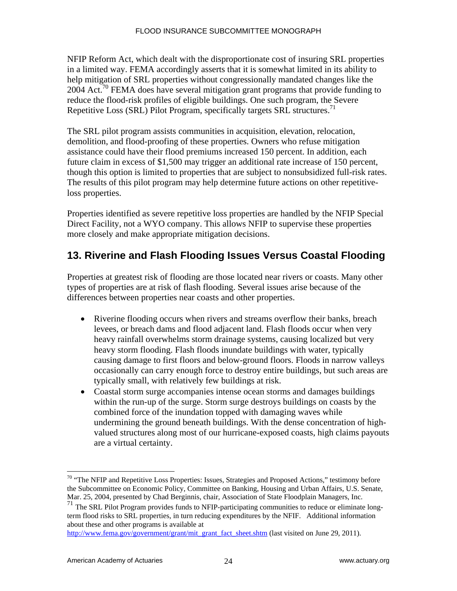NFIP Reform Act, which dealt with the disproportionate cost of insuring SRL properties in a limited way. FEMA accordingly asserts that it is somewhat limited in its ability to help mitigation of SRL properties without congressionally mandated changes like the 2004 Act.<sup>70</sup> FEMA does have several mitigation grant programs that provide funding to reduce the flood-risk profiles of eligible buildings. One such program, the Severe Repetitive Loss (SRL) Pilot Program, specifically targets SRL structures.<sup>71</sup>

The SRL pilot program assists communities in acquisition, elevation, relocation, demolition, and flood-proofing of these properties. Owners who refuse mitigation assistance could have their flood premiums increased 150 percent. In addition, each future claim in excess of \$1,500 may trigger an additional rate increase of 150 percent, though this option is limited to properties that are subject to nonsubsidized full-risk rates. The results of this pilot program may help determine future actions on other repetitiveloss properties.

Properties identified as severe repetitive loss properties are handled by the NFIP Special Direct Facility, not a WYO company. This allows NFIP to supervise these properties more closely and make appropriate mitigation decisions.

# **13. Riverine and Flash Flooding Issues Versus Coastal Flooding**

Properties at greatest risk of flooding are those located near rivers or coasts. Many other types of properties are at risk of flash flooding. Several issues arise because of the differences between properties near coasts and other properties.

- Riverine flooding occurs when rivers and streams overflow their banks, breach levees, or breach dams and flood adjacent land. Flash floods occur when very heavy rainfall overwhelms storm drainage systems, causing localized but very heavy storm flooding. Flash floods inundate buildings with water, typically causing damage to first floors and below-ground floors. Floods in narrow valleys occasionally can carry enough force to destroy entire buildings, but such areas are typically small, with relatively few buildings at risk.
- Coastal storm surge accompanies intense ocean storms and damages buildings within the run-up of the surge. Storm surge destroys buildings on coasts by the combined force of the inundation topped with damaging waves while undermining the ground beneath buildings. With the dense concentration of highvalued structures along most of our hurricane-exposed coasts, high claims payouts are a virtual certainty.

<sup>&</sup>lt;sup>70</sup> "The NFIP and Repetitive Loss Properties: Issues, Strategies and Proposed Actions," testimony before the Subcommittee on Economic Policy, Committee on Banking, Housing and Urban Affairs, U.S. Senate, Mar. 25, 2004, presented by Chad Berginnis, chair, Association of State Floodplain Managers, Inc.

<sup>71</sup> The SRL Pilot Program provides funds to NFIP-participating communities to reduce or eliminate longterm flood risks to SRL properties, in turn reducing expenditures by the NFIF. Additional information about these and other programs is available at

http://www.fema.gov/government/grant/mit\_grant\_fact\_sheet.shtm (last visited on June 29, 2011).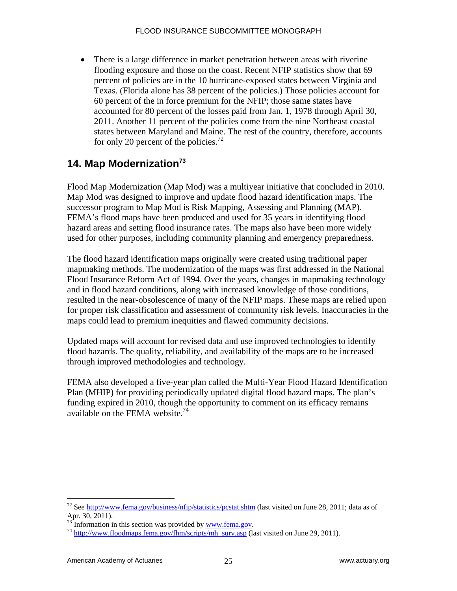There is a large difference in market penetration between areas with riverine flooding exposure and those on the coast. Recent NFIP statistics show that 69 percent of policies are in the 10 hurricane-exposed states between Virginia and Texas. (Florida alone has 38 percent of the policies.) Those policies account for 60 percent of the in force premium for the NFIP; those same states have accounted for 80 percent of the losses paid from Jan. 1, 1978 through April 30, 2011. Another 11 percent of the policies come from the nine Northeast coastal states between Maryland and Maine. The rest of the country, therefore, accounts for only 20 percent of the policies.<sup>72</sup>

# **14. Map Modernization73**

Flood Map Modernization (Map Mod) was a multiyear initiative that concluded in 2010. Map Mod was designed to improve and update flood hazard identification maps. The successor program to Map Mod is Risk Mapping, Assessing and Planning (MAP). FEMA's flood maps have been produced and used for 35 years in identifying flood hazard areas and setting flood insurance rates. The maps also have been more widely used for other purposes, including community planning and emergency preparedness.

The flood hazard identification maps originally were created using traditional paper mapmaking methods. The modernization of the maps was first addressed in the National Flood Insurance Reform Act of 1994. Over the years, changes in mapmaking technology and in flood hazard conditions, along with increased knowledge of those conditions, resulted in the near-obsolescence of many of the NFIP maps. These maps are relied upon for proper risk classification and assessment of community risk levels. Inaccuracies in the maps could lead to premium inequities and flawed community decisions.

Updated maps will account for revised data and use improved technologies to identify flood hazards. The quality, reliability, and availability of the maps are to be increased through improved methodologies and technology.

FEMA also developed a five-year plan called the Multi-Year Flood Hazard Identification Plan (MHIP) for providing periodically updated digital flood hazard maps. The plan's funding expired in 2010, though the opportunity to comment on its efficacy remains available on the FEMA website. $^{74}$ 

<sup>&</sup>lt;sup>72</sup> See http://www.fema.gov/business/nfip/statistics/pcstat.shtm (last visited on June 28, 2011; data as of Apr. 30, 2011).  $^{73}$  Information in this section was provided by <u>www.fema.gov</u>.

 $^{74}$  http://www.floodmaps.fema.gov/fhm/scripts/mh\_surv.asp (last visited on June 29, 2011).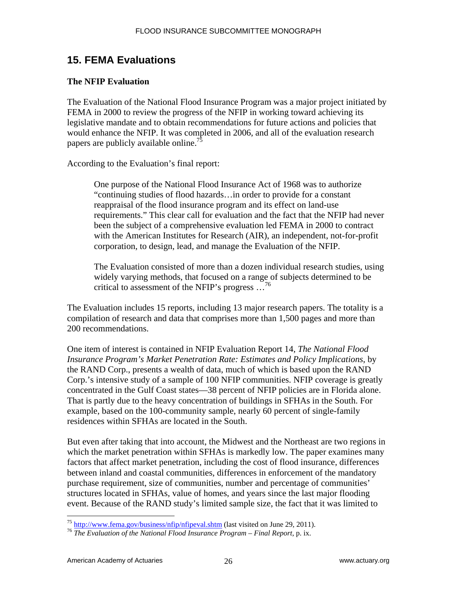# **15. FEMA Evaluations**

## **The NFIP Evaluation**

The Evaluation of the National Flood Insurance Program was a major project initiated by FEMA in 2000 to review the progress of the NFIP in working toward achieving its legislative mandate and to obtain recommendations for future actions and policies that would enhance the NFIP. It was completed in 2006, and all of the evaluation research papers are publicly available online.<sup>75</sup>

According to the Evaluation's final report:

One purpose of the National Flood Insurance Act of 1968 was to authorize "continuing studies of flood hazards…in order to provide for a constant reappraisal of the flood insurance program and its effect on land-use requirements." This clear call for evaluation and the fact that the NFIP had never been the subject of a comprehensive evaluation led FEMA in 2000 to contract with the American Institutes for Research (AIR), an independent, not-for-profit corporation, to design, lead, and manage the Evaluation of the NFIP.

The Evaluation consisted of more than a dozen individual research studies, using widely varying methods, that focused on a range of subjects determined to be critical to assessment of the NFIP's progress  $\ldots^{76}$ 

The Evaluation includes 15 reports, including 13 major research papers. The totality is a compilation of research and data that comprises more than 1,500 pages and more than 200 recommendations.

One item of interest is contained in NFIP Evaluation Report 14, *The National Flood Insurance Program's Market Penetration Rate: Estimates and Policy Implications*, by the RAND Corp., presents a wealth of data, much of which is based upon the RAND Corp.'s intensive study of a sample of 100 NFIP communities. NFIP coverage is greatly concentrated in the Gulf Coast states—38 percent of NFIP policies are in Florida alone. That is partly due to the heavy concentration of buildings in SFHAs in the South. For example, based on the 100-community sample, nearly 60 percent of single-family residences within SFHAs are located in the South.

But even after taking that into account, the Midwest and the Northeast are two regions in which the market penetration within SFHAs is markedly low. The paper examines many factors that affect market penetration, including the cost of flood insurance, differences between inland and coastal communities, differences in enforcement of the mandatory purchase requirement, size of communities, number and percentage of communities' structures located in SFHAs, value of homes, and years since the last major flooding event. Because of the RAND study's limited sample size, the fact that it was limited to

 $^{75}$  http://www.fema.gov/business/nfip/nfipeval.shtm (last visited on June 29, 2011).

<sup>&</sup>lt;sup>76</sup> The Evaluation of the National Flood Insurance Program – Final Report, p. ix.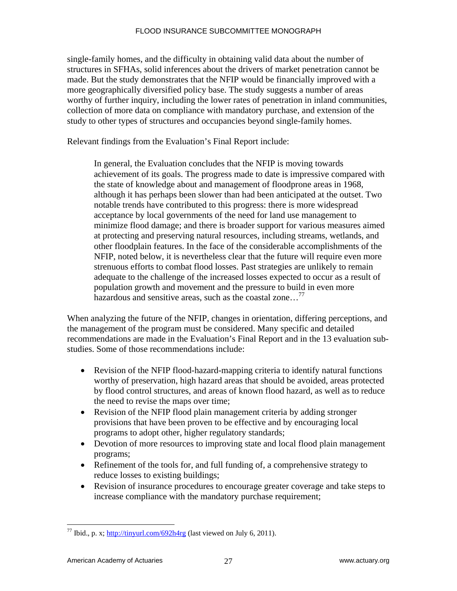single-family homes, and the difficulty in obtaining valid data about the number of structures in SFHAs, solid inferences about the drivers of market penetration cannot be made. But the study demonstrates that the NFIP would be financially improved with a more geographically diversified policy base. The study suggests a number of areas worthy of further inquiry, including the lower rates of penetration in inland communities, collection of more data on compliance with mandatory purchase, and extension of the study to other types of structures and occupancies beyond single-family homes.

Relevant findings from the Evaluation's Final Report include:

In general, the Evaluation concludes that the NFIP is moving towards achievement of its goals. The progress made to date is impressive compared with the state of knowledge about and management of floodprone areas in 1968, although it has perhaps been slower than had been anticipated at the outset. Two notable trends have contributed to this progress: there is more widespread acceptance by local governments of the need for land use management to minimize flood damage; and there is broader support for various measures aimed at protecting and preserving natural resources, including streams, wetlands, and other floodplain features. In the face of the considerable accomplishments of the NFIP, noted below, it is nevertheless clear that the future will require even more strenuous efforts to combat flood losses. Past strategies are unlikely to remain adequate to the challenge of the increased losses expected to occur as a result of population growth and movement and the pressure to build in even more hazardous and sensitive areas, such as the coastal zone...<sup>77</sup>

When analyzing the future of the NFIP, changes in orientation, differing perceptions, and the management of the program must be considered. Many specific and detailed recommendations are made in the Evaluation's Final Report and in the 13 evaluation substudies. Some of those recommendations include:

- Revision of the NFIP flood-hazard-mapping criteria to identify natural functions worthy of preservation, high hazard areas that should be avoided, areas protected by flood control structures, and areas of known flood hazard, as well as to reduce the need to revise the maps over time;
- Revision of the NFIP flood plain management criteria by adding stronger provisions that have been proven to be effective and by encouraging local programs to adopt other, higher regulatory standards;
- Devotion of more resources to improving state and local flood plain management programs;
- Refinement of the tools for, and full funding of, a comprehensive strategy to reduce losses to existing buildings;
- Revision of insurance procedures to encourage greater coverage and take steps to increase compliance with the mandatory purchase requirement;

<sup>&</sup>lt;sup>77</sup> Ibid., p. x; http://tinyurl.com/692h4rg (last viewed on July 6, 2011).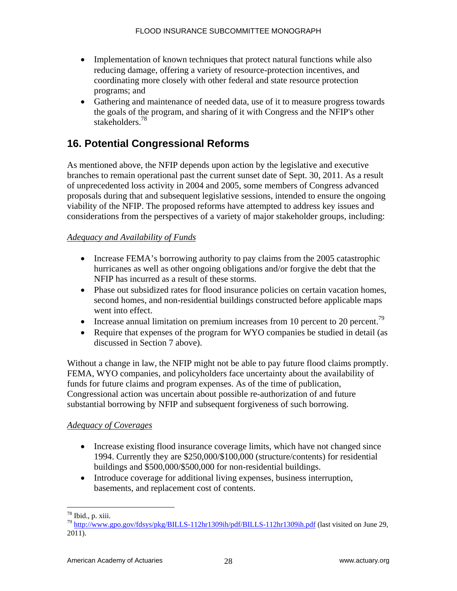- Implementation of known techniques that protect natural functions while also reducing damage, offering a variety of resource-protection incentives, and coordinating more closely with other federal and state resource protection programs; and
- Gathering and maintenance of needed data, use of it to measure progress towards the goals of the program, and sharing of it with Congress and the NFIP's other stakeholders.78

# **16. Potential Congressional Reforms**

As mentioned above, the NFIP depends upon action by the legislative and executive branches to remain operational past the current sunset date of Sept. 30, 2011. As a result of unprecedented loss activity in 2004 and 2005, some members of Congress advanced proposals during that and subsequent legislative sessions, intended to ensure the ongoing viability of the NFIP. The proposed reforms have attempted to address key issues and considerations from the perspectives of a variety of major stakeholder groups, including:

## *Adequacy and Availability of Funds*

- Increase FEMA's borrowing authority to pay claims from the 2005 catastrophic hurricanes as well as other ongoing obligations and/or forgive the debt that the NFIP has incurred as a result of these storms.
- Phase out subsidized rates for flood insurance policies on certain vacation homes, second homes, and non-residential buildings constructed before applicable maps went into effect.
- Increase annual limitation on premium increases from 10 percent to 20 percent.<sup>79</sup>
- Require that expenses of the program for WYO companies be studied in detail (as discussed in Section 7 above).

Without a change in law, the NFIP might not be able to pay future flood claims promptly. FEMA, WYO companies, and policyholders face uncertainty about the availability of funds for future claims and program expenses. As of the time of publication, Congressional action was uncertain about possible re-authorization of and future substantial borrowing by NFIP and subsequent forgiveness of such borrowing.

## *Adequacy of Coverages*

- Increase existing flood insurance coverage limits, which have not changed since 1994. Currently they are \$250,000/\$100,000 (structure/contents) for residential buildings and \$500,000/\$500,000 for non-residential buildings.
- Introduce coverage for additional living expenses, business interruption, basements, and replacement cost of contents.

 $\overline{a}$  $78$  Ibid., p. xiii.

<sup>79</sup> http://www.gpo.gov/fdsys/pkg/BILLS-112hr1309ih/pdf/BILLS-112hr1309ih.pdf (last visited on June 29, 2011).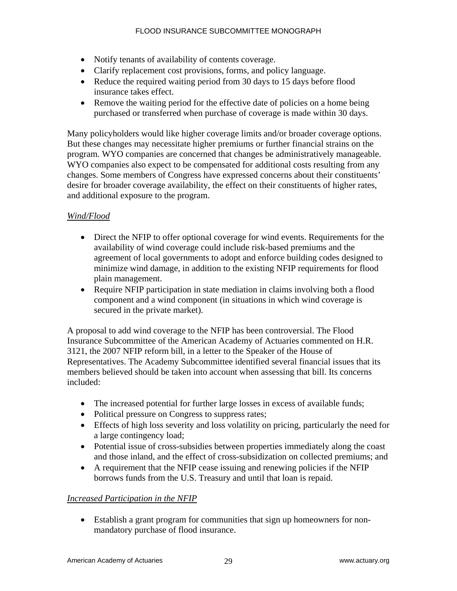- Notify tenants of availability of contents coverage.
- Clarify replacement cost provisions, forms, and policy language.
- Reduce the required waiting period from 30 days to 15 days before flood insurance takes effect.
- Remove the waiting period for the effective date of policies on a home being purchased or transferred when purchase of coverage is made within 30 days.

Many policyholders would like higher coverage limits and/or broader coverage options. But these changes may necessitate higher premiums or further financial strains on the program. WYO companies are concerned that changes be administratively manageable. WYO companies also expect to be compensated for additional costs resulting from any changes. Some members of Congress have expressed concerns about their constituents' desire for broader coverage availability, the effect on their constituents of higher rates, and additional exposure to the program.

## *Wind/Flood*

- Direct the NFIP to offer optional coverage for wind events. Requirements for the availability of wind coverage could include risk-based premiums and the agreement of local governments to adopt and enforce building codes designed to minimize wind damage, in addition to the existing NFIP requirements for flood plain management.
- Require NFIP participation in state mediation in claims involving both a flood component and a wind component (in situations in which wind coverage is secured in the private market).

A proposal to add wind coverage to the NFIP has been controversial. The Flood Insurance Subcommittee of the American Academy of Actuaries commented on H.R. 3121, the 2007 NFIP reform bill, in a letter to the Speaker of the House of Representatives. The Academy Subcommittee identified several financial issues that its members believed should be taken into account when assessing that bill. Its concerns included:

- The increased potential for further large losses in excess of available funds;
- Political pressure on Congress to suppress rates;
- Effects of high loss severity and loss volatility on pricing, particularly the need for a large contingency load;
- Potential issue of cross-subsidies between properties immediately along the coast and those inland, and the effect of cross-subsidization on collected premiums; and
- A requirement that the NFIP cease issuing and renewing policies if the NFIP borrows funds from the U.S. Treasury and until that loan is repaid.

## *Increased Participation in the NFIP*

 Establish a grant program for communities that sign up homeowners for nonmandatory purchase of flood insurance.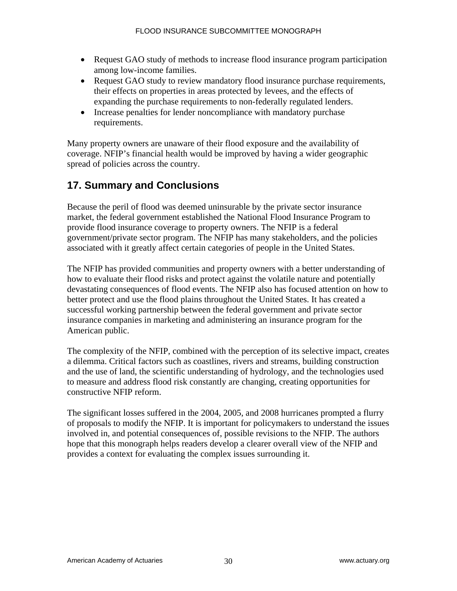- Request GAO study of methods to increase flood insurance program participation among low-income families.
- Request GAO study to review mandatory flood insurance purchase requirements, their effects on properties in areas protected by levees, and the effects of expanding the purchase requirements to non-federally regulated lenders.
- Increase penalties for lender noncompliance with mandatory purchase requirements.

Many property owners are unaware of their flood exposure and the availability of coverage. NFIP's financial health would be improved by having a wider geographic spread of policies across the country.

# **17. Summary and Conclusions**

Because the peril of flood was deemed uninsurable by the private sector insurance market, the federal government established the National Flood Insurance Program to provide flood insurance coverage to property owners. The NFIP is a federal government/private sector program. The NFIP has many stakeholders, and the policies associated with it greatly affect certain categories of people in the United States.

The NFIP has provided communities and property owners with a better understanding of how to evaluate their flood risks and protect against the volatile nature and potentially devastating consequences of flood events. The NFIP also has focused attention on how to better protect and use the flood plains throughout the United States. It has created a successful working partnership between the federal government and private sector insurance companies in marketing and administering an insurance program for the American public.

The complexity of the NFIP, combined with the perception of its selective impact, creates a dilemma. Critical factors such as coastlines, rivers and streams, building construction and the use of land, the scientific understanding of hydrology, and the technologies used to measure and address flood risk constantly are changing, creating opportunities for constructive NFIP reform.

The significant losses suffered in the 2004, 2005, and 2008 hurricanes prompted a flurry of proposals to modify the NFIP. It is important for policymakers to understand the issues involved in, and potential consequences of, possible revisions to the NFIP. The authors hope that this monograph helps readers develop a clearer overall view of the NFIP and provides a context for evaluating the complex issues surrounding it.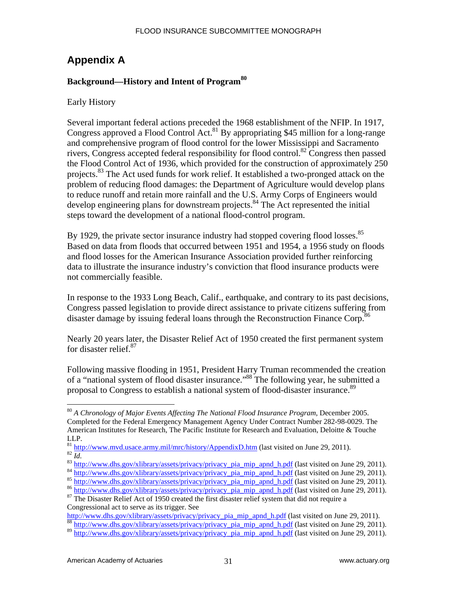# **Appendix A**

## **Background—History and Intent of Program<sup>80</sup>**

Early History

Several important federal actions preceded the 1968 establishment of the NFIP. In 1917, Congress approved a Flood Control Act.<sup>81</sup> By appropriating \$45 million for a long-range and comprehensive program of flood control for the lower Mississippi and Sacramento rivers, Congress accepted federal responsibility for flood control.82 Congress then passed the Flood Control Act of 1936, which provided for the construction of approximately 250 projects.<sup>83</sup> The Act used funds for work relief. It established a two-pronged attack on the problem of reducing flood damages: the Department of Agriculture would develop plans to reduce runoff and retain more rainfall and the U.S. Army Corps of Engineers would develop engineering plans for downstream projects.<sup>84</sup> The Act represented the initial steps toward the development of a national flood-control program.

By 1929, the private sector insurance industry had stopped covering flood losses.<sup>85</sup> Based on data from floods that occurred between 1951 and 1954, a 1956 study on floods and flood losses for the American Insurance Association provided further reinforcing data to illustrate the insurance industry's conviction that flood insurance products were not commercially feasible.

In response to the 1933 Long Beach, Calif., earthquake, and contrary to its past decisions, Congress passed legislation to provide direct assistance to private citizens suffering from disaster damage by issuing federal loans through the Reconstruction Finance Corp.<sup>86</sup>

Nearly 20 years later, the Disaster Relief Act of 1950 created the first permanent system for disaster relief.<sup>87</sup>

Following massive flooding in 1951, President Harry Truman recommended the creation of a "national system of flood disaster insurance."88 The following year, he submitted a proposal to Congress to establish a national system of flood-disaster insurance.<sup>89</sup>

1

<sup>80</sup> *A Chronology of Major Events Affecting The National Flood Insurance Program*, December 2005. Completed for the Federal Emergency Management Agency Under Contract Number 282-98-0029. The American Institutes for Research, The Pacific Institute for Research and Evaluation, Deloitte & Touche

LLP.<br><sup>81</sup> http://www.mvd.usace.army.mil/<u>mrc/history/AppendixD.htm</u> (last visited on June 29, 2011).

<sup>&</sup>lt;sup>82</sup> *Id.*<br><sup>83</sup> http://www.dhs.gov/xlibrary/assets/privacy/privacy pia\_mip\_apnd\_h.pdf (last visited on June 29, 2011).<br><sup>84</sup> http://www.dhs.gov/xlibrary/assets/privacy/privacy pia\_mip\_apnd\_h.pdf (last visited on June 29, 2

Congressional act to serve as its trigger. See<br>http://www.dhs.gov/xlibrary/assets/privacy/privacy pia mip apnd h.pdf (last visited on June 29, 2011).

 $\frac{\text{http://www.dhs.gov/xlibrary/asserts/forward\_prior}}{\text{88} \text{http://www.dhs.gov/xlibrary/asserts/asserts/private/private/private/private/value}}$  pia\_mip\_apnd\_h.pdf (last visited on June 29, 2011).

 $89$  http://www.dhs.gov/xlibrary/assets/privacy/privacy\_pia\_mip\_apnd\_h.pdf (last visited on June 29, 2011).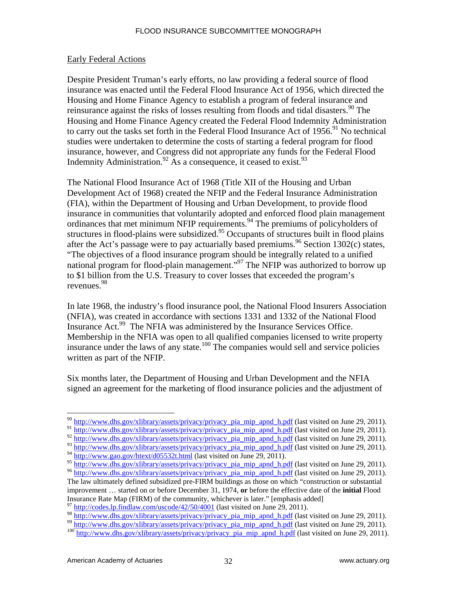#### Early Federal Actions

Despite President Truman's early efforts, no law providing a federal source of flood insurance was enacted until the Federal Flood Insurance Act of 1956, which directed the Housing and Home Finance Agency to establish a program of federal insurance and reinsurance against the risks of losses resulting from floods and tidal disasters.  $90$  The Housing and Home Finance Agency created the Federal Flood Indemnity Administration to carry out the tasks set forth in the Federal Flood Insurance Act of  $1956$ .<sup>91</sup> No technical studies were undertaken to determine the costs of starting a federal program for flood insurance, however, and Congress did not appropriate any funds for the Federal Flood Indemnity Administration.<sup>92</sup> As a consequence, it ceased to exist.<sup>93</sup>

The National Flood Insurance Act of 1968 (Title XII of the Housing and Urban Development Act of 1968) created the NFIP and the Federal Insurance Administration (FIA), within the Department of Housing and Urban Development, to provide flood insurance in communities that voluntarily adopted and enforced flood plain management ordinances that met minimum NFIP requirements.<sup>94</sup> The premiums of policyholders of structures in flood-plains were subsidized.<sup>95</sup> Occupants of structures built in flood plains after the Act's passage were to pay actuarially based premiums.<sup>96</sup> Section 1302(c) states, "The objectives of a flood insurance program should be integrally related to a unified national program for flood-plain management."97 The NFIP was authorized to borrow up to \$1 billion from the U.S. Treasury to cover losses that exceeded the program's revenues.98

In late 1968, the industry's flood insurance pool, the National Flood Insurers Association (NFIA), was created in accordance with sections 1331 and 1332 of the National Flood Insurance Act.<sup>99</sup> The NFIA was administered by the Insurance Services Office. Membership in the NFIA was open to all qualified companies licensed to write property insurance under the laws of any state.<sup>100</sup> The companies would sell and service policies written as part of the NFIP.

Six months later, the Department of Housing and Urban Development and the NFIA signed an agreement for the marketing of flood insurance policies and the adjustment of

<sup>&</sup>lt;sup>90</sup> http://www.dhs.gov/xlibrary/assets/privacy/privacy\_pia\_mip\_apnd\_h.pdf (last visited on June 29, 2011).

<sup>91</sup> http://www.dhs.gov/xlibrary/assets/privacy/privacy\_pia\_mip\_apnd\_h.pdf (last visited on June 29, 2011).

 $\frac{92 \text{ http://www.dhs.gov/xlibrary/assets/privacy/privacy} \text{pia\_min\_apnd} \text{ h.pdf}}{92 \text{ http://www.dhs.gov/xlibrary/assets/privacy/privacy} \text{ pia\_min\_apnd} \text{ h.pdf}}$  (last visited on June 29, 2011).

<sup>93</sup> http://www.dhs.gov/xlibrary/assets/privacy/privacy\_pia\_mip\_apnd\_h.pdf (last visited on June 29, 2011).

<sup>94</sup> http://www.gao.gov/htext/d05532t.html (last visited on June 29, 2011).

<sup>&</sup>lt;sup>95</sup> http://www.dhs.gov/xlibrary/assets/privacy/privacy\_pia\_mip\_apnd\_h.pdf (last visited on June 29, 2011).<br><sup>96</sup> http://www.dhs.gov/xlibrary/assets/privacy/privacy\_pia\_mip\_apnd\_h.pdf (last visited on June 29, 2011).

The law ultimately defined subsidized pre-FIRM buildings as those on which "construction or substantial improvement … started on or before December 31, 1974, **or** before the effective date of the **initial** Flood Insurance Rate Map (FIRM) of the community, whichever is later." [emphasis added]<br><sup>97</sup> http://codes.lp.findlaw.com/uscode/42/50/4001 (last visited on June 29, 2011).<br><sup>98</sup> http://www.dhs.gov/xlibrary/assets/privacy/privacy

<sup>&</sup>lt;sup>99</sup> http://www.dhs.gov/xlibrary/assets/privacy/privacy pia\_mip\_apnd\_h.pdf (last visited on June 29, 2011).<br><sup>100</sup> http://www.dhs.gov/xlibrary/assets/privacy/privacy pia\_mip\_apnd\_h.pdf (last visited on June 29, 2011).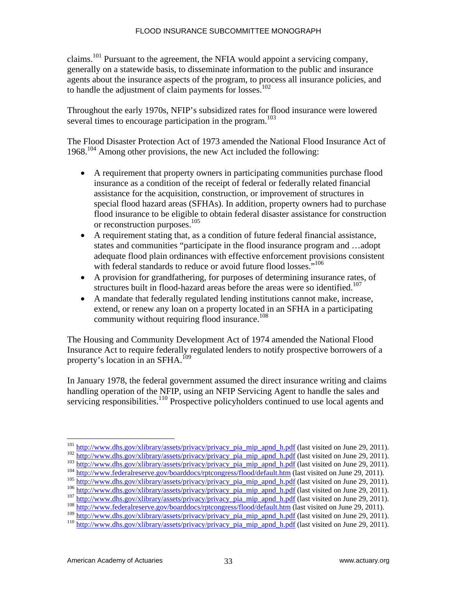claims.101 Pursuant to the agreement, the NFIA would appoint a servicing company, generally on a statewide basis, to disseminate information to the public and insurance agents about the insurance aspects of the program, to process all insurance policies, and to handle the adjustment of claim payments for losses.<sup>102</sup>

Throughout the early 1970s, NFIP's subsidized rates for flood insurance were lowered several times to encourage participation in the program.<sup>103</sup>

The Flood Disaster Protection Act of 1973 amended the National Flood Insurance Act of  $1968$ <sup> $104$ </sup> Among other provisions, the new Act included the following:

- A requirement that property owners in participating communities purchase flood insurance as a condition of the receipt of federal or federally related financial assistance for the acquisition, construction, or improvement of structures in special flood hazard areas (SFHAs). In addition, property owners had to purchase flood insurance to be eligible to obtain federal disaster assistance for construction or reconstruction purposes.105
- A requirement stating that, as a condition of future federal financial assistance, states and communities "participate in the flood insurance program and …adopt adequate flood plain ordinances with effective enforcement provisions consistent with federal standards to reduce or avoid future flood losses."<sup>106</sup>
- A provision for grandfathering, for purposes of determining insurance rates, of structures built in flood-hazard areas before the areas were so identified.<sup>107</sup>
- A mandate that federally regulated lending institutions cannot make, increase, extend, or renew any loan on a property located in an SFHA in a participating community without requiring flood insurance.<sup>108</sup>

The Housing and Community Development Act of 1974 amended the National Flood Insurance Act to require federally regulated lenders to notify prospective borrowers of a property's location in an SFHA.<sup>109</sup>

In January 1978, the federal government assumed the direct insurance writing and claims handling operation of the NFIP, using an NFIP Servicing Agent to handle the sales and servicing responsibilities.<sup>110</sup> Prospective policyholders continued to use local agents and

- 
- 
- 

<sup>&</sup>lt;sup>101</sup> http://www.dhs.gov/xlibrary/assets/privacy/privacy\_pia\_mip\_apnd\_h.pdf (last visited on June 29, 2011).

 $\frac{\frac{\text{http://www.dhs.gov/xlibrary/assets/privacy/privacy}}{\text{http://www.dhs.gov/xlibrary/assets/privacy/privacy/privacy}}$  pia\_mip\_apnd\_h.pdf (last visited on June 29, 2011).<br>
103 http://www.dhs.gov/xlibrary/assets/privacy/privacy\_pia\_mip\_apnd\_h.pdf (last visited on June 29, 2011).<br>
104

<sup>110</sup> http://www.dhs.gov/xlibrary/assets/privacy/privacy\_pia\_mip\_apnd\_h.pdf (last visited on June 29, 2011).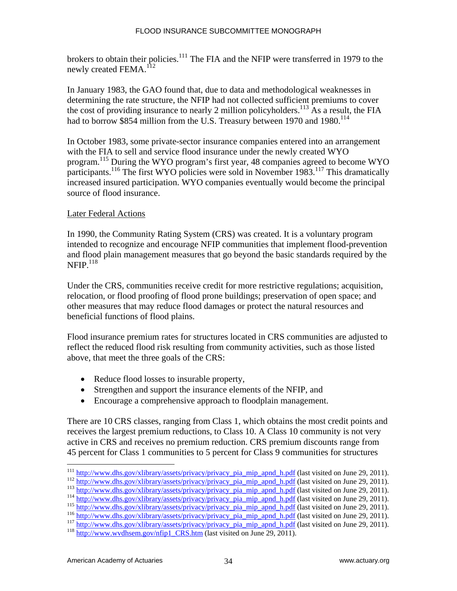brokers to obtain their policies.<sup>111</sup> The FIA and the NFIP were transferred in 1979 to the newly created FEMA.<sup>112</sup>

In January 1983, the GAO found that, due to data and methodological weaknesses in determining the rate structure, the NFIP had not collected sufficient premiums to cover the cost of providing insurance to nearly 2 million policyholders.<sup>113</sup> As a result, the FIA had to borrow \$854 million from the U.S. Treasury between 1970 and 1980.<sup>114</sup>

In October 1983, some private-sector insurance companies entered into an arrangement with the FIA to sell and service flood insurance under the newly created WYO program.115 During the WYO program's first year, 48 companies agreed to become WYO participants.<sup>116</sup> The first WYO policies were sold in November 1983.<sup>117</sup> This dramatically increased insured participation. WYO companies eventually would become the principal source of flood insurance.

#### Later Federal Actions

In 1990, the Community Rating System (CRS) was created. It is a voluntary program intended to recognize and encourage NFIP communities that implement flood-prevention and flood plain management measures that go beyond the basic standards required by the  $NFIP.$ <sup>118</sup>

Under the CRS, communities receive credit for more restrictive regulations; acquisition, relocation, or flood proofing of flood prone buildings; preservation of open space; and other measures that may reduce flood damages or protect the natural resources and beneficial functions of flood plains.

Flood insurance premium rates for structures located in CRS communities are adjusted to reflect the reduced flood risk resulting from community activities, such as those listed above, that meet the three goals of the CRS:

- Reduce flood losses to insurable property,
- Strengthen and support the insurance elements of the NFIP, and
- Encourage a comprehensive approach to floodplain management.

There are 10 CRS classes, ranging from Class 1, which obtains the most credit points and receives the largest premium reductions, to Class 10. A Class 10 community is not very active in CRS and receives no premium reduction. CRS premium discounts range from 45 percent for Class 1 communities to 5 percent for Class 9 communities for structures

 $\frac{\frac{\text{http://www.dhs.gov/xlibrary/assets/privacy/privacy}}{\text{http://www.dhs.gov/xlibrary/assets/privacy/privacy}}$   $\frac{\frac{\text{http://www.dhs.gov/xlibrary/assets/privacy/privacy}}{\text{http://www.dhs.gov/xlibrary/assets/privacy/privacy}}$   $\frac{\text{pip and h.pdf}}{\text{http://www.dhs.gov/xlibrary/assets/privacy/privacy}}$   $\frac{\text{hip and h.pdf}}{\text{http://www.dhs.gov/xlibrary/assets/privacy/privacy}}$   $\frac{\text{hip and h.pdf}}{\text{http://www.dhs.gov/hibrary/assets/privacy/privacy}}$   $\frac{\text{hip$ 

<sup>&</sup>lt;sup>111</sup> http://www.dhs.gov/xlibrary/assets/privacy/privacy\_pia\_mip\_apnd\_h.pdf (last visited on June 29, 2011).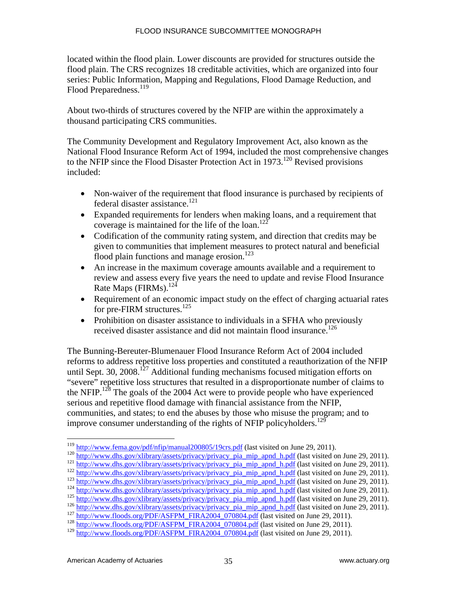located within the flood plain. Lower discounts are provided for structures outside the flood plain. The CRS recognizes 18 creditable activities, which are organized into four series: Public Information, Mapping and Regulations, Flood Damage Reduction, and Flood Preparedness.<sup>119</sup>

About two-thirds of structures covered by the NFIP are within the approximately a thousand participating CRS communities.

The Community Development and Regulatory Improvement Act, also known as the National Flood Insurance Reform Act of 1994, included the most comprehensive changes to the NFIP since the Flood Disaster Protection Act in 1973.<sup>120</sup> Revised provisions included:

- Non-waiver of the requirement that flood insurance is purchased by recipients of federal disaster assistance.<sup>121</sup>
- Expanded requirements for lenders when making loans, and a requirement that coverage is maintained for the life of the loan.<sup>122</sup>
- Codification of the community rating system, and direction that credits may be given to communities that implement measures to protect natural and beneficial flood plain functions and manage erosion.<sup>123</sup>
- An increase in the maximum coverage amounts available and a requirement to review and assess every five years the need to update and revise Flood Insurance Rate Maps (FIRMs).<sup>124</sup>
- Requirement of an economic impact study on the effect of charging actuarial rates for pre-FIRM structures.<sup>125</sup>
- Prohibition on disaster assistance to individuals in a SFHA who previously received disaster assistance and did not maintain flood insurance.<sup>126</sup>

The Bunning-Bereuter-Blumenauer Flood Insurance Reform Act of 2004 included reforms to address repetitive loss properties and constituted a reauthorization of the NFIP until Sept. 30,  $2008$ <sup>127</sup> Additional funding mechanisms focused mitigation efforts on "severe" repetitive loss structures that resulted in a disproportionate number of claims to the NFIP.<sup>128</sup> The goals of the 2004 Act were to provide people who have experienced serious and repetitive flood damage with financial assistance from the NFIP, communities, and states; to end the abuses by those who misuse the program; and to improve consumer understanding of the rights of NFIP policyholders.<sup>129</sup>

<sup>&</sup>lt;sup>119</sup> http://www.fema.gov/pdf/nfip/manual200805/19crs.pdf (last visited on June 29, 2011).

<sup>&</sup>lt;sup>120</sup> http://www.dhs.gov/xlibrary/assets/privacy/privacy pia\_mip\_apnd\_h.pdf (last visited on June 29, 2011).<br>
<sup>121</sup> http://www.dhs.gov/xlibrary/assets/privacy/privacy pia\_mip\_apnd\_h.pdf (last visited on June 29, 2011).<br>
<sup></sup>

<sup>&</sup>lt;sup>129</sup> http://www.floods.org/PDF/ASFPM\_FIRA2004\_070804.pdf (last visited on June 29, 2011).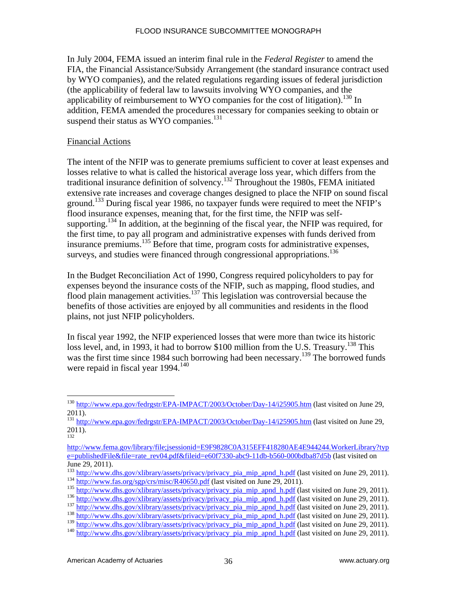In July 2004, FEMA issued an interim final rule in the *Federal Register* to amend the FIA, the Financial Assistance/Subsidy Arrangement (the standard insurance contract used by WYO companies), and the related regulations regarding issues of federal jurisdiction (the applicability of federal law to lawsuits involving WYO companies, and the applicability of reimbursement to WYO companies for the cost of litigation).<sup>130</sup> In addition, FEMA amended the procedures necessary for companies seeking to obtain or suspend their status as WYO companies.<sup>131</sup>

#### Financial Actions

The intent of the NFIP was to generate premiums sufficient to cover at least expenses and losses relative to what is called the historical average loss year, which differs from the traditional insurance definition of solvency.<sup>132</sup> Throughout the 1980s, FEMA initiated extensive rate increases and coverage changes designed to place the NFIP on sound fiscal ground.<sup>133</sup> During fiscal year 1986, no taxpayer funds were required to meet the NFIP's flood insurance expenses, meaning that, for the first time, the NFIP was selfsupporting.<sup>134</sup> In addition, at the beginning of the fiscal year, the NFIP was required, for the first time, to pay all program and administrative expenses with funds derived from insurance premiums.135 Before that time, program costs for administrative expenses, surveys, and studies were financed through congressional appropriations.<sup>136</sup>

In the Budget Reconciliation Act of 1990, Congress required policyholders to pay for expenses beyond the insurance costs of the NFIP, such as mapping, flood studies, and flood plain management activities.<sup>137</sup> This legislation was controversial because the benefits of those activities are enjoyed by all communities and residents in the flood plains, not just NFIP policyholders.

In fiscal year 1992, the NFIP experienced losses that were more than twice its historic loss level, and, in 1993, it had to borrow \$100 million from the U.S. Treasury.<sup>138</sup> This was the first time since 1984 such borrowing had been necessary.<sup>139</sup> The borrowed funds were repaid in fiscal year  $1994$ <sup>140</sup>

 $\overline{a}$ <sup>130</sup> http://www.epa.gov/fedrgstr/EPA-IMPACT/2003/October/Day-14/i25905.htm (last visited on June 29, 2011).

<sup>131</sup> http://www.epa.gov/fedrgstr/EPA-IMPACT/2003/October/Day-14/i25905.htm (last visited on June 29, 2011). 132

http://www.fema.gov/library/file;jsessionid=E9F9828C0A315EFF418280AE4E944244.WorkerLibrary?typ e=publishedFile&file=rate\_rev04.pdf&fileid=e60f7330-abc9-11db-b560-000bdba87d5b (last visited on June 29, 2011).<br><sup>133</sup> http://www.dhs.gov/xlibrary/assets/privacy/privacy\_pia\_mip\_apnd\_h.pdf (last visited on June 29, 2011).

<sup>135&</sup>lt;br>
http://www.fas.org/sgp/crs/misc/R40650.pdf (last visited on June 29, 2011).<br>
135<br>
http://www.dhs.gov/xlibrary/assets/privacy/privacy\_pia\_mip\_apnd\_h.pdf (last visited on June 29, 2011).<br>
137<br>
http://www.dhs.gov/xlibrar

 $\frac{139}{\text{http://www.dhs.gov/xlibrary/assets/privacy/privacy}$  pia\_mip\_apnd\_h.pdf (last visited on June 29, 2011). 140 http://www.dhs.gov/xlibrary/assets/privacy/privacy\_pia\_mip\_apnd\_h.pdf (last visited on June 29, 2011).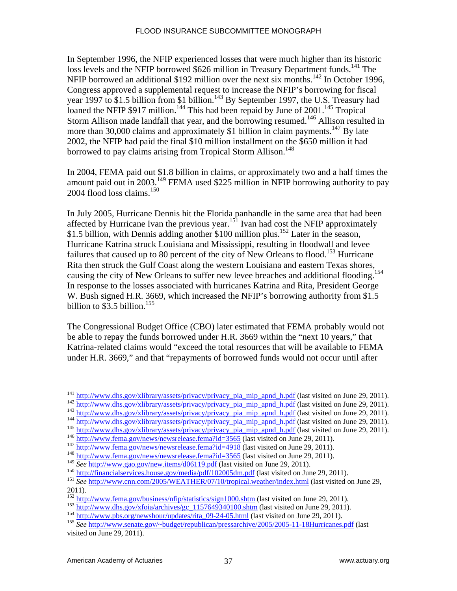In September 1996, the NFIP experienced losses that were much higher than its historic loss levels and the NFIP borrowed \$626 million in Treasury Department funds.<sup>141</sup> The NFIP borrowed an additional \$192 million over the next six months.<sup>142</sup> In October 1996, Congress approved a supplemental request to increase the NFIP's borrowing for fiscal year 1997 to \$1.5 billion from \$1 billion.<sup>143</sup> By September 1997, the U.S. Treasury had loaned the NFIP \$917 million.<sup>144</sup> This had been repaid by June of 2001.<sup>145</sup> Tropical Storm Allison made landfall that year, and the borrowing resumed.<sup>146</sup> Allison resulted in more than 30,000 claims and approximately \$1 billion in claim payments.<sup>147</sup> By late 2002, the NFIP had paid the final \$10 million installment on the \$650 million it had borrowed to pay claims arising from Tropical Storm Allison.<sup>148</sup>

In 2004, FEMA paid out \$1.8 billion in claims, or approximately two and a half times the amount paid out in 2003.149 FEMA used \$225 million in NFIP borrowing authority to pay 2004 flood loss claims. $150$ 

In July 2005, Hurricane Dennis hit the Florida panhandle in the same area that had been affected by Hurricane Ivan the previous year.<sup>151</sup> Ivan had cost the NFIP approximately \$1.5 billion, with Dennis adding another \$100 million plus.<sup>152</sup> Later in the season, Hurricane Katrina struck Louisiana and Mississippi, resulting in floodwall and levee failures that caused up to 80 percent of the city of New Orleans to flood.<sup>153</sup> Hurricane Rita then struck the Gulf Coast along the western Louisiana and eastern Texas shores, causing the city of New Orleans to suffer new levee breaches and additional flooding.<sup>154</sup> In response to the losses associated with hurricanes Katrina and Rita, President George W. Bush signed H.R. 3669, which increased the NFIP's borrowing authority from \$1.5 billion to  $\$3.5$  billion.<sup>155</sup>

The Congressional Budget Office (CBO) later estimated that FEMA probably would not be able to repay the funds borrowed under H.R. 3669 within the "next 10 years," that Katrina-related claims would "exceed the total resources that will be available to FEMA under H.R. 3669," and that "repayments of borrowed funds would not occur until after

 $^{141}$  http://www.dhs.gov/xlibrary/assets/privacy/privacy\_pia\_mip\_apnd\_h.pdf (last visited on June 29, 2011).

 $143 \frac{http://www.dhs.gov/xlibrary/assets/privacy/privacy-pia_mip-apnd-h.pdf}{http://www.dhs.gov/xlibrary/assets/privacy/privacy-pia_mip-apnd-h.pdf} (last visited on June 29, 2011).$   $144 \frac{http://www.dhs.gov/xlibrary/assets/privacy/pivacy-pia_mip-apnd-h.pdf}{http://www.dhs.gov/xlibrary/assets/privacy/pivacy-pia_mip-apnd-h.pdf} (last visited on June 29, 2011).$   $145 \frac{http://www.dhs.gov/ribrary/assets/privacy/pivacy-pia_mip-apnd-h.pdf}{http://www.dhs.gov/ribrary/assets/privacy/pivacy-pia$ 

<sup>150</sup> http://financialservices.house.gov/media/pdf/102005dm.pdf (last visited on June 29, 2011).<br>
<sup>151</sup> See http://www.cnn.com/2005/WEATHER/07/10/tropical.weather/index.html (last visited on June 29,

<sup>2011).&</sup>lt;br><sup>152</sup> http://www.fema.gov/business/n<u>fip/statistics/sign1000.shtm</u> (last visited on June 29, 2011).

 $\frac{153}{\text{http://www.dhs.gov/xfoia/archives/gc} 1157649340100\text{.html}}$  (last visited on June 29, 2011).<br>  $\frac{154}{\text{http://www.pbs.org/newshour/updates/rita} 09-24-05\text{.html}}$  (last visited on June 29, 2011).

visited on June 29, 2011).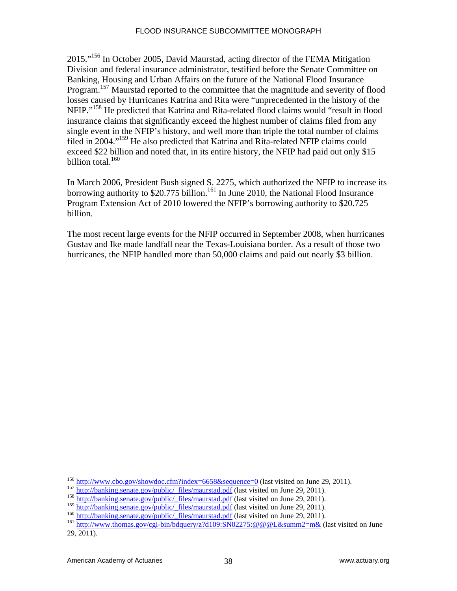2015."156 In October 2005, David Maurstad, acting director of the FEMA Mitigation Division and federal insurance administrator, testified before the Senate Committee on Banking, Housing and Urban Affairs on the future of the National Flood Insurance Program.<sup>157</sup> Maurstad reported to the committee that the magnitude and severity of flood losses caused by Hurricanes Katrina and Rita were "unprecedented in the history of the NFIP."158 He predicted that Katrina and Rita-related flood claims would "result in flood insurance claims that significantly exceed the highest number of claims filed from any single event in the NFIP's history, and well more than triple the total number of claims filed in 2004."159 He also predicted that Katrina and Rita-related NFIP claims could exceed \$22 billion and noted that, in its entire history, the NFIP had paid out only \$15 billion total. $160$ 

In March 2006, President Bush signed S. 2275, which authorized the NFIP to increase its borrowing authority to  $$20.775$  billion.<sup>161</sup> In June 2010, the National Flood Insurance Program Extension Act of 2010 lowered the NFIP's borrowing authority to \$20.725 billion.

The most recent large events for the NFIP occurred in September 2008, when hurricanes Gustav and Ike made landfall near the Texas-Louisiana border. As a result of those two hurricanes, the NFIP handled more than 50,000 claims and paid out nearly \$3 billion.

<sup>&</sup>lt;sup>156</sup> http://www.cbo.gov/showdoc.cfm?index=6658&sequence=0 (last visited on June 29, 2011).

<sup>157&</sup>lt;br>
http://banking.senate.gov/public/\_files/maurstad.pdf (last visited on June 29, 2011).<br>
158<br>
http://banking.senate.gov/public/\_files/maurstad.pdf (last visited on June 29, 2011).<br>
<sup>159</sup> http://banking.senate.gov/public

<sup>&</sup>lt;sup>160</sup> http://banking.senate.gov/public/\_files/maurstad.pdf (last visited on June 29, 2011).<br><sup>161</sup> http://www.thomas.gov/cgi-bin/bdquery/z?d109:SN02275:@@@L&summ2=m& (last visited on June

<sup>29, 2011).</sup>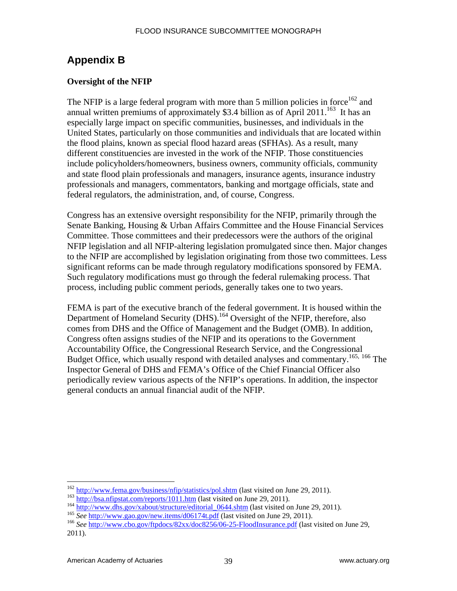# **Appendix B**

#### **Oversight of the NFIP**

The NFIP is a large federal program with more than 5 million policies in force  $162$  and annual written premiums of approximately \$3.4 billion as of April 2011.<sup>163</sup> It has an especially large impact on specific communities, businesses, and individuals in the United States, particularly on those communities and individuals that are located within the flood plains, known as special flood hazard areas (SFHAs). As a result, many different constituencies are invested in the work of the NFIP. Those constituencies include policyholders/homeowners, business owners, community officials, community and state flood plain professionals and managers, insurance agents, insurance industry professionals and managers, commentators, banking and mortgage officials, state and federal regulators, the administration, and, of course, Congress.

Congress has an extensive oversight responsibility for the NFIP, primarily through the Senate Banking, Housing & Urban Affairs Committee and the House Financial Services Committee. Those committees and their predecessors were the authors of the original NFIP legislation and all NFIP-altering legislation promulgated since then. Major changes to the NFIP are accomplished by legislation originating from those two committees. Less significant reforms can be made through regulatory modifications sponsored by FEMA. Such regulatory modifications must go through the federal rulemaking process. That process, including public comment periods, generally takes one to two years.

FEMA is part of the executive branch of the federal government. It is housed within the Department of Homeland Security (DHS).<sup>164</sup> Oversight of the NFIP, therefore, also comes from DHS and the Office of Management and the Budget (OMB). In addition, Congress often assigns studies of the NFIP and its operations to the Government Accountability Office, the Congressional Research Service, and the Congressional Budget Office, which usually respond with detailed analyses and commentary.<sup>165, 166</sup> The Inspector General of DHS and FEMA's Office of the Chief Financial Officer also periodically review various aspects of the NFIP's operations. In addition, the inspector general conducts an annual financial audit of the NFIP.

<sup>&</sup>lt;sup>162</sup> http://www.fema.gov/business/nfip/statistics/pol.shtm (last visited on June 29, 2011).

 $\frac{163}{http://bsa.nfipstat.com/reports/1011.htm}$   $\frac{http://bsa.nfipstat.com/reports/1011.htm}{http://www.dhs.gov/xabout/structure/editorial 0644.shtm}$ (last visited on June 29, 2011).<br>  $\frac{164}{e}$   $\frac{http://www.gao.gov/new.items/d06174t.pdf}{e}$   $\frac{165}{e}$   $\frac{http://www.gao.gov/new.items/d06174t.pdf}{e}$   $\frac{166}{e}$   $\frac{http://www.ebo.gov/ftpdocs/82$ 

<sup>2011).</sup>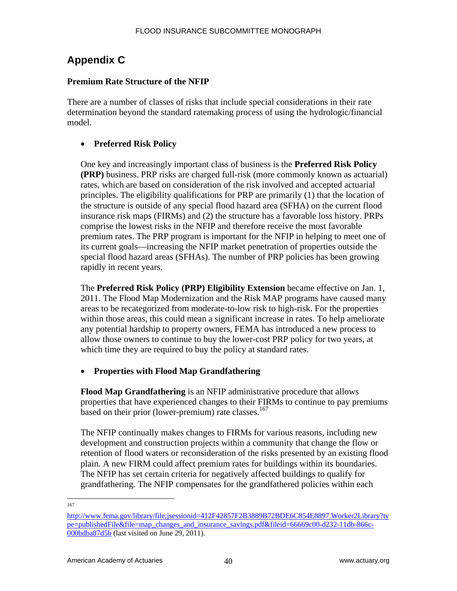# **Appendix C**

## **Premium Rate Structure of the NFIP**

There are a number of classes of risks that include special considerations in their rate determination beyond the standard ratemaking process of using the hydrologic/financial model.

## **Preferred Risk Policy**

One key and increasingly important class of business is the **Preferred Risk Policy (PRP)** business. PRP risks are charged full-risk (more commonly known as actuarial) rates, which are based on consideration of the risk involved and accepted actuarial principles. The eligibility qualifications for PRP are primarily (1) that the location of the structure is outside of any special flood hazard area (SFHA) on the current flood insurance risk maps (FIRMs) and (2) the structure has a favorable loss history. PRPs comprise the lowest risks in the NFIP and therefore receive the most favorable premium rates. The PRP program is important for the NFIP in helping to meet one of its current goals—increasing the NFIP market penetration of properties outside the special flood hazard areas (SFHAs). The number of PRP policies has been growing rapidly in recent years.

The **Preferred Risk Policy (PRP) Eligibility Extension** became effective on Jan. 1, 2011. The Flood Map Modernization and the Risk MAP programs have caused many areas to be recategorized from moderate-to-low risk to high-risk. For the properties within those areas, this could mean a significant increase in rates. To help ameliorate any potential hardship to property owners, FEMA has introduced a new process to allow those owners to continue to buy the lower-cost PRP policy for two years, at which time they are required to buy the policy at standard rates.

## **Properties with Flood Map Grandfathering**

**Flood Map Grandfathering** is an NFIP administrative procedure that allows properties that have experienced changes to their FIRMs to continue to pay premiums based on their prior (lower-premium) rate classes.<sup>167</sup>

The NFIP continually makes changes to FIRMs for various reasons, including new development and construction projects within a community that change the flow or retention of flood waters or reconsideration of the risks presented by an existing flood plain. A new FIRM could affect premium rates for buildings within its boundaries. The NFIP has set certain criteria for negatively affected buildings to qualify for grandfathering. The NFIP compensates for the grandfathered policies within each

 $\frac{167}{167}$ 

http://www.fema.gov/library/file;jsessionid=412F42857F2B3889B72BDE6C854E8897.Worker2Library?ty pe=publishedFile&file=map\_changes\_and\_insurance\_savings.pdf&fileid=66669c00-d232-11db-866c-000bdba87d5b (last visited on June 29, 2011).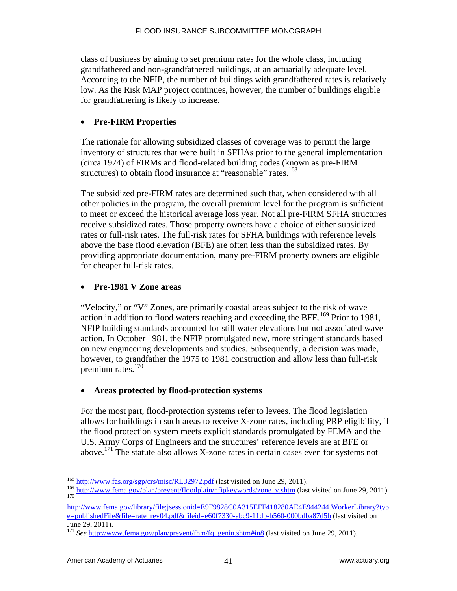class of business by aiming to set premium rates for the whole class, including grandfathered and non-grandfathered buildings, at an actuarially adequate level. According to the NFIP, the number of buildings with grandfathered rates is relatively low. As the Risk MAP project continues, however, the number of buildings eligible for grandfathering is likely to increase.

## **Pre-FIRM Properties**

The rationale for allowing subsidized classes of coverage was to permit the large inventory of structures that were built in SFHAs prior to the general implementation (circa 1974) of FIRMs and flood-related building codes (known as pre-FIRM structures) to obtain flood insurance at "reasonable" rates.<sup>168</sup>

The subsidized pre-FIRM rates are determined such that, when considered with all other policies in the program, the overall premium level for the program is sufficient to meet or exceed the historical average loss year. Not all pre-FIRM SFHA structures receive subsidized rates. Those property owners have a choice of either subsidized rates or full-risk rates. The full-risk rates for SFHA buildings with reference levels above the base flood elevation (BFE) are often less than the subsidized rates. By providing appropriate documentation, many pre-FIRM property owners are eligible for cheaper full-risk rates.

## **Pre-1981 V Zone areas**

"Velocity," or "V" Zones, are primarily coastal areas subject to the risk of wave action in addition to flood waters reaching and exceeding the BFE.<sup>169</sup> Prior to 1981, NFIP building standards accounted for still water elevations but not associated wave action. In October 1981, the NFIP promulgated new, more stringent standards based on new engineering developments and studies. Subsequently, a decision was made, however, to grandfather the 1975 to 1981 construction and allow less than full-risk premium rates.<sup>170</sup>

## **Areas protected by flood-protection systems**

For the most part, flood-protection systems refer to levees. The flood legislation allows for buildings in such areas to receive X-zone rates, including PRP eligibility, if the flood protection system meets explicit standards promulgated by FEMA and the U.S. Army Corps of Engineers and the structures' reference levels are at BFE or above.<sup>171</sup> The statute also allows X-zone rates in certain cases even for systems not

<sup>&</sup>lt;u>.</u> <sup>168</sup> http://www.fas.org/sgp/crs/misc/RL32972.pdf (last visited on June 29, 2011).

<sup>&</sup>lt;sup>169</sup> http://www.fema.gov/plan/prevent/floodplain/nfipkeywords/zone\_v.shtm (last visited on June 29, 2011).

http://www.fema.gov/library/file;jsessionid=E9F9828C0A315EFF418280AE4E944244.WorkerLibrary?typ e=publishedFile&file=rate\_rev04.pdf&fileid=e60f7330-abc9-11db-b560-000bdba87d5b (last visited on June 29, 2011).

<sup>&</sup>lt;sup>171</sup> See http://www.fema.gov/plan/prevent/fhm/fq\_genin.shtm#in8 (last visited on June 29, 2011).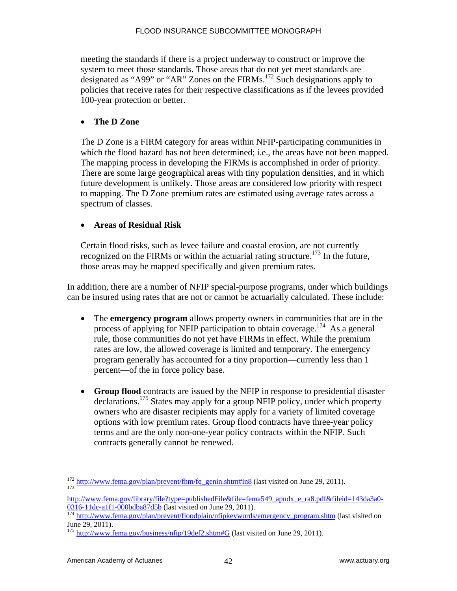meeting the standards if there is a project underway to construct or improve the system to meet those standards. Those areas that do not yet meet standards are designated as "A99" or "AR" Zones on the FIRMs.<sup>172</sup> Such designations apply to policies that receive rates for their respective classifications as if the levees provided 100-year protection or better.

#### **The D Zone**

The D Zone is a FIRM category for areas within NFIP-participating communities in which the flood hazard has not been determined; i.e., the areas have not been mapped. The mapping process in developing the FIRMs is accomplished in order of priority. There are some large geographical areas with tiny population densities, and in which future development is unlikely. Those areas are considered low priority with respect to mapping. The D Zone premium rates are estimated using average rates across a spectrum of classes.

## **Areas of Residual Risk**

Certain flood risks, such as levee failure and coastal erosion, are not currently recognized on the FIRMs or within the actuarial rating structure.<sup>173</sup> In the future, those areas may be mapped specifically and given premium rates.

In addition, there are a number of NFIP special-purpose programs, under which buildings can be insured using rates that are not or cannot be actuarially calculated. These include:

- The **emergency program** allows property owners in communities that are in the process of applying for NFIP participation to obtain coverage.<sup>174</sup> As a general rule, those communities do not yet have FIRMs in effect. While the premium rates are low, the allowed coverage is limited and temporary. The emergency program generally has accounted for a tiny proportion—currently less than 1 percent—of the in force policy base.
- **Group flood** contracts are issued by the NFIP in response to presidential disaster declarations.175 States may apply for a group NFIP policy, under which property owners who are disaster recipients may apply for a variety of limited coverage options with low premium rates. Group flood contracts have three-year policy terms and are the only non-one-year policy contracts within the NFIP. Such contracts generally cannot be renewed.

 $\overline{a}$  $\frac{172 \text{ http://www.fema.gov/plan/prevent/fhm/fq\_genin.shtm#in8}}{173}$  (last visited on June 29, 2011).

http://www.fema.gov/library/file?type=publishedFile&file=fema549\_apndx\_e\_ra8.pdf&fileid=143da3a0-<br>0316-11dc-a1f1-000bdba87d5b (last visited on June 29, 2011).

<sup>&</sup>lt;sup>174</sup> http://www.fema.gov/plan/prevent/floodplain/nfipkeywords/emergency\_program.shtm (last visited on June 29, 2011).

<sup>&</sup>lt;sup>175</sup> http://www.fema.gov/business/nfip/19def2.shtm#G (last visited on June 29, 2011).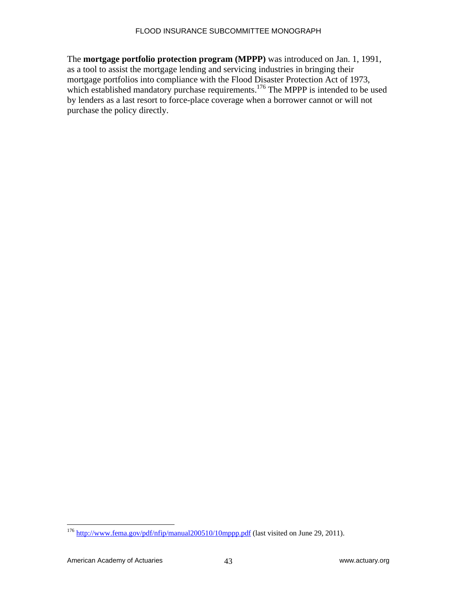The **mortgage portfolio protection program (MPPP)** was introduced on Jan. 1, 1991, as a tool to assist the mortgage lending and servicing industries in bringing their mortgage portfolios into compliance with the Flood Disaster Protection Act of 1973, which established mandatory purchase requirements.<sup>176</sup> The MPPP is intended to be used by lenders as a last resort to force-place coverage when a borrower cannot or will not purchase the policy directly.

<sup>&</sup>lt;sup>176</sup> http://www.fema.gov/pdf/nfip/manual200510/10mppp.pdf (last visited on June 29, 2011).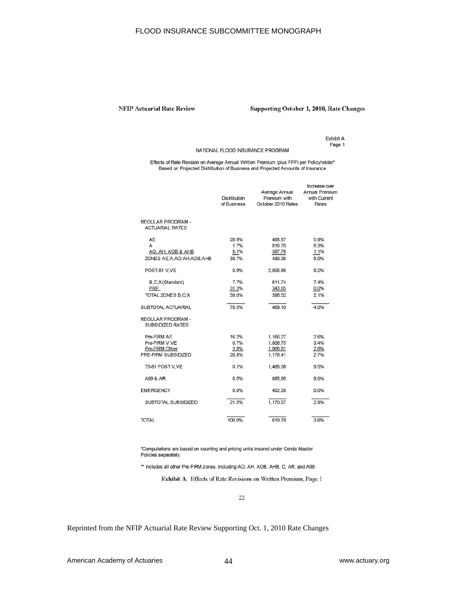#### **NFIP Actuarial Rate Review**

#### Supporting October 1, 2010, Rate Changes

Exhibit A Page 1

NATIONAL FLOOD INSURANCE PROGRAM

Effects of Rate Revision on Average Annual Written Premium (plus FPF) per Policyholder\*<br>Based on Projected Distribution of Business and Projected Amounts of Insurance

| <b>REGULAR PROGRAM -</b><br><b>ACTUARIAL RATES</b><br>AE<br>5.9%<br>28.9%<br>498.87<br>1.7%<br>A<br>816.70<br>5.3%<br>8.1%<br>1.1%<br>AO, AH, AOB & AHB<br>387.76<br>ZONES AE.A.AO.AH.AOB.AHB<br>38.7%<br>489.36<br>5.0%<br>9.2%<br>POST-81 V.VE<br>0.9%<br>2,806.86<br>7.7%<br>611.74<br>7.4%<br>B, C, X (Standard)<br>31.3%<br>0.0%<br>PRP<br>343.65 | Increase over<br>Annual Premium<br>with Current<br>Rates |
|--------------------------------------------------------------------------------------------------------------------------------------------------------------------------------------------------------------------------------------------------------------------------------------------------------------------------------------------------------|----------------------------------------------------------|
|                                                                                                                                                                                                                                                                                                                                                        |                                                          |
|                                                                                                                                                                                                                                                                                                                                                        |                                                          |
|                                                                                                                                                                                                                                                                                                                                                        |                                                          |
|                                                                                                                                                                                                                                                                                                                                                        |                                                          |
|                                                                                                                                                                                                                                                                                                                                                        |                                                          |
|                                                                                                                                                                                                                                                                                                                                                        |                                                          |
|                                                                                                                                                                                                                                                                                                                                                        |                                                          |
|                                                                                                                                                                                                                                                                                                                                                        |                                                          |
| TOTAL ZONES B.C.X<br>2.1%<br>39.0%<br>396.52                                                                                                                                                                                                                                                                                                           |                                                          |
| 78.5%<br>469.10<br>SUBTOTAL ACTUARIAL<br>4.0%                                                                                                                                                                                                                                                                                                          |                                                          |
| <b>REGULAR PROGRAM -</b><br><b>SUBSIDIZED RATES</b>                                                                                                                                                                                                                                                                                                    |                                                          |
| Pre-FIRM AE<br>16.2%<br>1.166.27<br>2.6%                                                                                                                                                                                                                                                                                                               |                                                          |
| 0.7%<br>3.4%<br>Pre-FIRM V.VE<br>1,806.75                                                                                                                                                                                                                                                                                                              |                                                          |
| Pre-FIRM Other<br>3.8%<br>1,068.81<br>2.6%                                                                                                                                                                                                                                                                                                             |                                                          |
| PRE-FIRM SUBSIDIZED<br>2.7%<br>20.8%<br>1.176.41                                                                                                                                                                                                                                                                                                       |                                                          |
| 75-81 POST V.VE<br>0.1%<br>1.468.36<br>9.5%                                                                                                                                                                                                                                                                                                            |                                                          |
| 0.5%<br>9.0%<br>A99 & AR<br>895.95                                                                                                                                                                                                                                                                                                                     |                                                          |
| <b>EMERGENCY</b><br>0.0%<br>0.0%<br>402.20                                                                                                                                                                                                                                                                                                             |                                                          |
| 1.170.07<br>21.5%<br>2.9%<br>SUBTOTAL SUBSIDIZED                                                                                                                                                                                                                                                                                                       |                                                          |
| 619.79<br>3.6%<br><b>TOTAL</b><br>100.0%                                                                                                                                                                                                                                                                                                               |                                                          |

\*Computations are based on counting and pricing units insured under Condo Master Policies separately.

\*\* Includes all other Pre FIRM zones, including AO, AH, AOB, AHB, D, AR, and A99.

Exhibit A. Effects of Rate Revisions on Written Premium, Page 1

 $22$ 

Reprinted from the NFIP Actuarial Rate Review Supporting Oct. 1, 2010 Rate Changes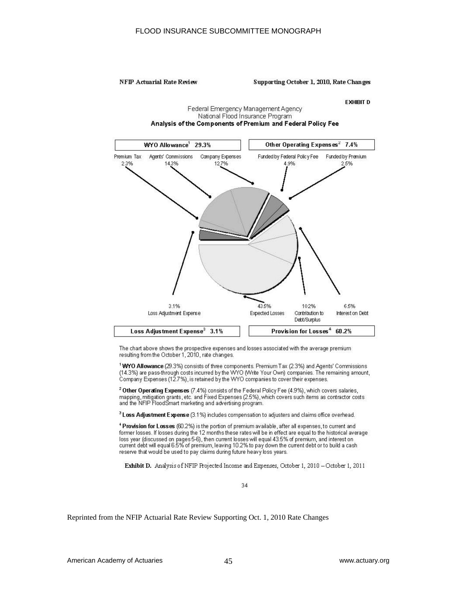#### NFIP Actuarial Rate Review

#### Supporting October 1, 2010, Rate Changes

#### **EXHIBIT D**

#### Federal Emergency Management Agency National Flood Insurance Program Analysis of the Components of Premium and Federal Policy Fee



The chart above shows the prospective expenses and losses associated with the average premium resulting from the October 1, 2010, rate changes.

<sup>1</sup> WYO Allowance (29.3%) consists of three components. Premium Tax (2.3%) and Agents' Commissions (14.3%) are pass-through costs incurred by the WYO (Write Your Own) companies. The remaining amount, Company Expenses (12.7%), is retained by the WYO companies to cover their expenses.

<sup>2</sup> Other Operating Expenses (7.4%) consists of the Federal Policy Fee (4.9%), which covers salaries, mapping, mitigation grants, etc. and Fixed Expenses (2.5%), which covers such items as contractor costs<br>and the NFIP FloodSmart marketing and advertising program.

<sup>3</sup> Loss Adjustment Expense (3.1%) includes compensation to adjusters and claims office overhead.

Provision for Losses (60.2%) is the portion of premium available, after all expenses, to current and former losses. If losses during the 12 months these rates will be in effect are equal to the historical average loss year (discussed on pages 5-6), then current losses will equal 43.5% of premium, and interest on current debt will equal 6.5% of premium, leaving 10.2% to pay down the current debt or to build a cash reserve that would be used to pay claims during future heavy loss years.

Exhibit D. Analysis of NFIP Projected Income and Expenses, October 1, 2010 - October 1, 2011

34

Reprinted from the NFIP Actuarial Rate Review Supporting Oct. 1, 2010 Rate Changes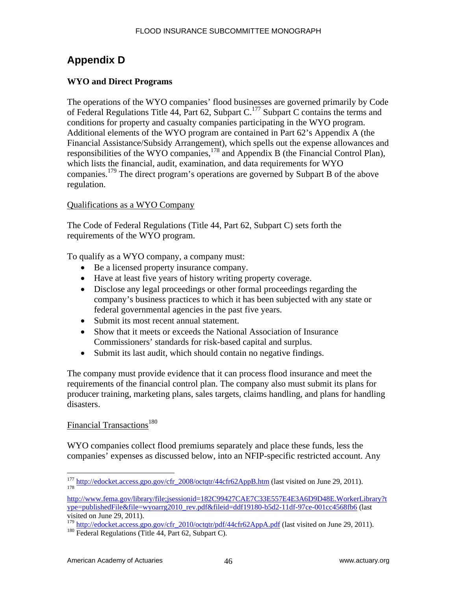# **Appendix D**

## **WYO and Direct Programs**

The operations of the WYO companies' flood businesses are governed primarily by Code of Federal Regulations Title 44, Part 62, Subpart C.<sup>177</sup> Subpart C contains the terms and conditions for property and casualty companies participating in the WYO program. Additional elements of the WYO program are contained in Part 62's Appendix A (the Financial Assistance/Subsidy Arrangement), which spells out the expense allowances and responsibilities of the WYO companies,<sup>178</sup> and Appendix B (the Financial Control Plan), which lists the financial, audit, examination, and data requirements for WYO companies.179 The direct program's operations are governed by Subpart B of the above regulation.

#### Qualifications as a WYO Company

The Code of Federal Regulations (Title 44, Part 62, Subpart C) sets forth the requirements of the WYO program.

To qualify as a WYO company, a company must:

- Be a licensed property insurance company.
- Have at least five years of history writing property coverage.
- Disclose any legal proceedings or other formal proceedings regarding the company's business practices to which it has been subjected with any state or federal governmental agencies in the past five years.
- Submit its most recent annual statement.
- Show that it meets or exceeds the National Association of Insurance Commissioners' standards for risk-based capital and surplus.
- Submit its last audit, which should contain no negative findings.

The company must provide evidence that it can process flood insurance and meet the requirements of the financial control plan. The company also must submit its plans for producer training, marketing plans, sales targets, claims handling, and plans for handling disasters.

## Financial Transactions<sup>180</sup>

WYO companies collect flood premiums separately and place these funds, less the companies' expenses as discussed below, into an NFIP-specific restricted account. Any

 $\overline{a}$ <sup>177</sup> http://edocket.access.gpo.gov/cfr\_2008/octqtr/44cfr62AppB.htm (last visited on June 29, 2011).

http://www.fema.gov/library/file;jsessionid=182C99427CAE7C33E557E4E3A6D9D48E.WorkerLibrary?t ype=publishedFile&file=wyoarrg2010\_rev.pdf&fileid=ddf19180-b5d2-11df-97ce-001cc4568fb6 (last visited on June 29, 2011).

<sup>&</sup>lt;sup>179</sup> http://edocket.access.gpo.gov/cfr\_2010/octqtr/pdf/44cfr62AppA.pdf (last visited on June 29, 2011). <sup>180</sup> Federal Regulations (Title 44, Part 62, Subpart C).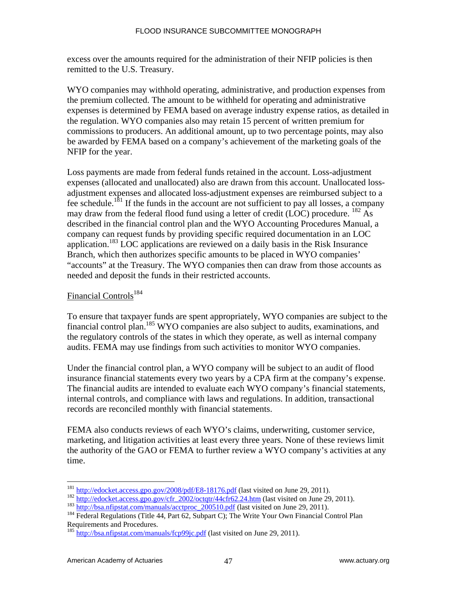excess over the amounts required for the administration of their NFIP policies is then remitted to the U.S. Treasury.

WYO companies may withhold operating, administrative, and production expenses from the premium collected. The amount to be withheld for operating and administrative expenses is determined by FEMA based on average industry expense ratios, as detailed in the regulation. WYO companies also may retain 15 percent of written premium for commissions to producers. An additional amount, up to two percentage points, may also be awarded by FEMA based on a company's achievement of the marketing goals of the NFIP for the year.

Loss payments are made from federal funds retained in the account. Loss-adjustment expenses (allocated and unallocated) also are drawn from this account. Unallocated lossadjustment expenses and allocated loss-adjustment expenses are reimbursed subject to a fee schedule.<sup>181</sup> If the funds in the account are not sufficient to pay all losses, a company may draw from the federal flood fund using a letter of credit (LOC) procedure.  $^{182}$  As described in the financial control plan and the WYO Accounting Procedures Manual, a company can request funds by providing specific required documentation in an LOC application.<sup>183</sup> LOC applications are reviewed on a daily basis in the Risk Insurance Branch, which then authorizes specific amounts to be placed in WYO companies' "accounts" at the Treasury. The WYO companies then can draw from those accounts as needed and deposit the funds in their restricted accounts.

#### Financial Controls<sup>184</sup>

To ensure that taxpayer funds are spent appropriately, WYO companies are subject to the financial control plan.185 WYO companies are also subject to audits, examinations, and the regulatory controls of the states in which they operate, as well as internal company audits. FEMA may use findings from such activities to monitor WYO companies.

Under the financial control plan, a WYO company will be subject to an audit of flood insurance financial statements every two years by a CPA firm at the company's expense. The financial audits are intended to evaluate each WYO company's financial statements, internal controls, and compliance with laws and regulations. In addition, transactional records are reconciled monthly with financial statements.

FEMA also conducts reviews of each WYO's claims, underwriting, customer service, marketing, and litigation activities at least every three years. None of these reviews limit the authority of the GAO or FEMA to further review a WYO company's activities at any time.

<sup>&</sup>lt;sup>181</sup> http://edocket.access.gpo.gov/2008/pdf/E8-18176.pdf (last visited on June 29, 2011).

 $\frac{182}{\frac{http://edocket.access.gpo.gov/cfr_2002/octqtr/44cfr62.24.htm}{http://bsa.nfipstat.com/manuals/acctproc_200510.pdf}$  (last visited on June 29, 2011).<br>  $^{183}$ <br>  $^{184}$  Federal Regulations (Title 44, Part 62, Subpart C); The Write Your Own Financial Control Plan Requirements and Procedures.

<sup>&</sup>lt;sup>185</sup> http://bsa.nfipstat.com/manuals/fcp99jc.pdf (last visited on June 29, 2011).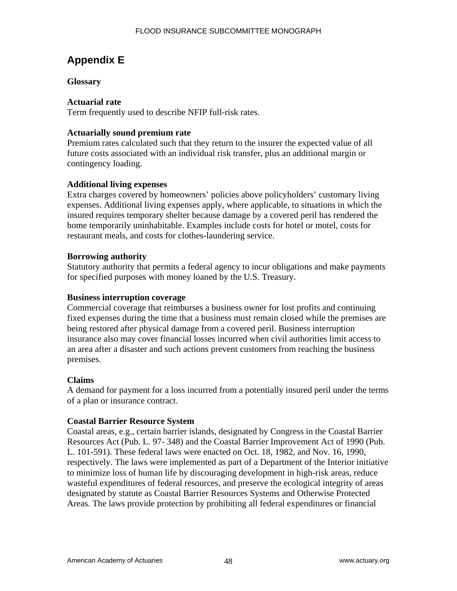# **Appendix E**

## **Glossary**

#### **Actuarial rate**

Term frequently used to describe NFIP full-risk rates.

#### **Actuarially sound premium rate**

Premium rates calculated such that they return to the insurer the expected value of all future costs associated with an individual risk transfer, plus an additional margin or contingency loading.

#### **Additional living expenses**

Extra charges covered by homeowners' policies above policyholders' customary living expenses. Additional living expenses apply, where applicable, to situations in which the insured requires temporary shelter because damage by a covered peril has rendered the home temporarily uninhabitable. Examples include costs for hotel or motel, costs for restaurant meals, and costs for clothes-laundering service.

#### **Borrowing authority**

Statutory authority that permits a federal agency to incur obligations and make payments for specified purposes with money loaned by the U.S. Treasury.

#### **Business interruption coverage**

Commercial coverage that reimburses a business owner for lost profits and continuing fixed expenses during the time that a business must remain closed while the premises are being restored after physical damage from a covered peril. Business interruption insurance also may cover financial losses incurred when civil authorities limit access to an area after a disaster and such actions prevent customers from reaching the business premises.

#### **Claims**

A demand for payment for a loss incurred from a potentially insured peril under the terms of a plan or insurance contract.

#### **Coastal Barrier Resource System**

Coastal areas, e.g., certain barrier islands, designated by Congress in the Coastal Barrier Resources Act (Pub. L. 97- 348) and the Coastal Barrier Improvement Act of 1990 (Pub. L. 101-591). These federal laws were enacted on Oct. 18, 1982, and Nov. 16, 1990, respectively. The laws were implemented as part of a Department of the Interior initiative to minimize loss of human life by discouraging development in high-risk areas, reduce wasteful expenditures of federal resources, and preserve the ecological integrity of areas designated by statute as Coastal Barrier Resources Systems and Otherwise Protected Areas. The laws provide protection by prohibiting all federal expenditures or financial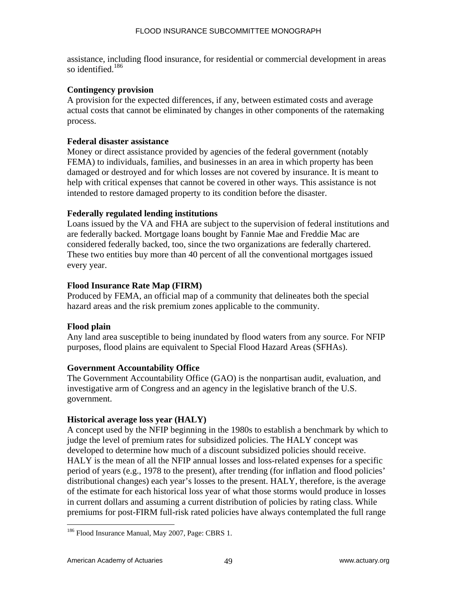assistance, including flood insurance, for residential or commercial development in areas so identified. $186$ 

#### **Contingency provision**

A provision for the expected differences, if any, between estimated costs and average actual costs that cannot be eliminated by changes in other components of the ratemaking process.

#### **Federal disaster assistance**

Money or direct assistance provided by agencies of the federal government (notably FEMA) to individuals, families, and businesses in an area in which property has been damaged or destroyed and for which losses are not covered by insurance. It is meant to help with critical expenses that cannot be covered in other ways. This assistance is not intended to restore damaged property to its condition before the disaster.

#### **Federally regulated lending institutions**

Loans issued by the VA and FHA are subject to the supervision of federal institutions and are federally backed. Mortgage loans bought by Fannie Mae and Freddie Mac are considered federally backed, too, since the two organizations are federally chartered. These two entities buy more than 40 percent of all the conventional mortgages issued every year.

#### **Flood Insurance Rate Map (FIRM)**

Produced by FEMA, an official map of a community that delineates both the special hazard areas and the risk premium zones applicable to the community.

## **Flood plain**

Any land area susceptible to being inundated by flood waters from any source. For NFIP purposes, flood plains are equivalent to Special Flood Hazard Areas (SFHAs).

## **Government Accountability Office**

The Government Accountability Office (GAO) is the nonpartisan audit, evaluation, and investigative arm of Congress and an agency in the legislative branch of the U.S. government.

## **Historical average loss year (HALY)**

A concept used by the NFIP beginning in the 1980s to establish a benchmark by which to judge the level of premium rates for subsidized policies. The HALY concept was developed to determine how much of a discount subsidized policies should receive. HALY is the mean of all the NFIP annual losses and loss-related expenses for a specific period of years (e.g., 1978 to the present), after trending (for inflation and flood policies' distributional changes) each year's losses to the present. HALY, therefore, is the average of the estimate for each historical loss year of what those storms would produce in losses in current dollars and assuming a current distribution of policies by rating class. While premiums for post-FIRM full-risk rated policies have always contemplated the full range

<u>.</u>

<sup>&</sup>lt;sup>186</sup> Flood Insurance Manual, May 2007, Page: CBRS 1.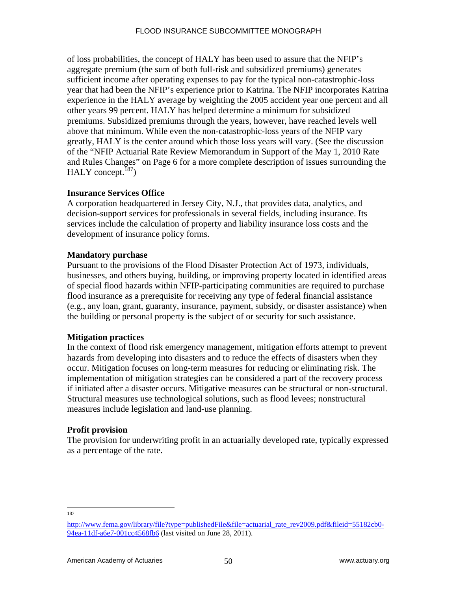of loss probabilities, the concept of HALY has been used to assure that the NFIP's aggregate premium (the sum of both full-risk and subsidized premiums) generates sufficient income after operating expenses to pay for the typical non-catastrophic-loss year that had been the NFIP's experience prior to Katrina. The NFIP incorporates Katrina experience in the HALY average by weighting the 2005 accident year one percent and all other years 99 percent. HALY has helped determine a minimum for subsidized premiums. Subsidized premiums through the years, however, have reached levels well above that minimum. While even the non-catastrophic-loss years of the NFIP vary greatly, HALY is the center around which those loss years will vary. (See the discussion of the "NFIP Actuarial Rate Review Memorandum in Support of the May 1, 2010 Rate and Rules Changes" on Page 6 for a more complete description of issues surrounding the HALY concept. $187$ )

## **Insurance Services Office**

A corporation headquartered in Jersey City, N.J., that provides data, analytics, and decision-support services for professionals in several fields, including insurance. Its services include the calculation of property and liability insurance loss costs and the development of insurance policy forms.

#### **Mandatory purchase**

Pursuant to the provisions of the Flood Disaster Protection Act of 1973, individuals, businesses, and others buying, building, or improving property located in identified areas of special flood hazards within NFIP-participating communities are required to purchase flood insurance as a prerequisite for receiving any type of federal financial assistance (e.g., any loan, grant, guaranty, insurance, payment, subsidy, or disaster assistance) when the building or personal property is the subject of or security for such assistance.

#### **Mitigation practices**

In the context of flood risk emergency management, mitigation efforts attempt to prevent hazards from developing into disasters and to reduce the effects of disasters when they occur. Mitigation focuses on long-term measures for reducing or eliminating risk. The implementation of mitigation strategies can be considered a part of the recovery process if initiated after a disaster occurs. Mitigative measures can be structural or non-structural. Structural measures use technological solutions, such as flood levees; nonstructural measures include legislation and land-use planning.

## **Profit provision**

The provision for underwriting profit in an actuarially developed rate, typically expressed as a percentage of the rate.

<sup>187</sup>

http://www.fema.gov/library/file?type=publishedFile&file=actuarial\_rate\_rev2009.pdf&fileid=55182cb0- 94ea-11df-a6e7-001cc4568fb6 (last visited on June 28, 2011).